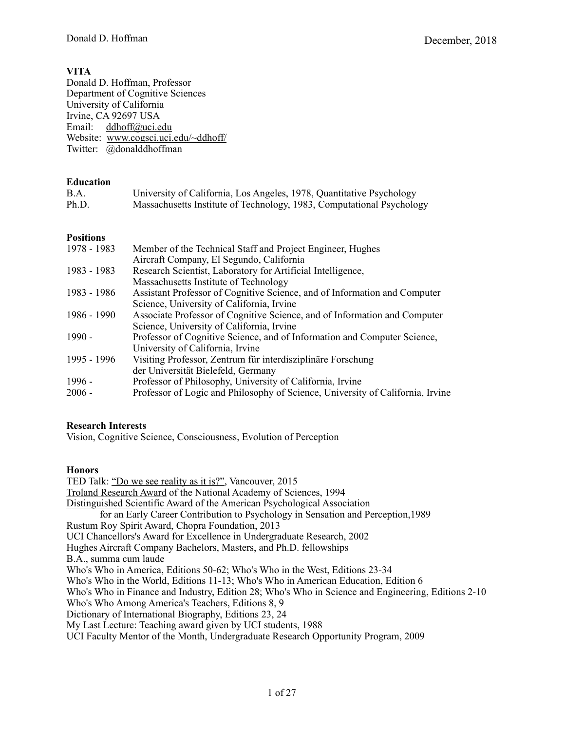# **VITA**

Donald D. Hoffman, Professor Department of Cognitive Sciences University of California Irvine, CA 92697 USA Email: [ddhoff@uci.edu](mailto:ddhoff@uci.edu) Website: [www.cogsci.uci.edu/~ddhoff/](http://www.cogsci.uci.edu/~ddhoff/) Twitter: @donalddhoffman

# **Education**

| B.A.  | University of California, Los Angeles, 1978, Quantitative Psychology  |
|-------|-----------------------------------------------------------------------|
| Ph.D. | Massachusetts Institute of Technology, 1983, Computational Psychology |

# **Positions**

| 1978 - 1983 | Member of the Technical Staff and Project Engineer, Hughes<br>Aircraft Company, El Segundo, California |
|-------------|--------------------------------------------------------------------------------------------------------|
| 1983 - 1983 | Research Scientist, Laboratory for Artificial Intelligence,                                            |
|             | Massachusetts Institute of Technology                                                                  |
| 1983 - 1986 | Assistant Professor of Cognitive Science, and of Information and Computer                              |
|             | Science, University of California, Irvine                                                              |
| 1986 - 1990 | Associate Professor of Cognitive Science, and of Information and Computer                              |
|             | Science, University of California, Irvine                                                              |
| $1990 -$    | Professor of Cognitive Science, and of Information and Computer Science,                               |
|             | University of California, Irvine                                                                       |
| 1995 - 1996 | Visiting Professor, Zentrum für interdisziplinäre Forschung                                            |
|             | der Universität Bielefeld, Germany                                                                     |
| $1996 -$    | Professor of Philosophy, University of California, Irvine                                              |
| $2006 -$    | Professor of Logic and Philosophy of Science, University of California, Irvine                         |

# **Research Interests**

Vision, Cognitive Science, Consciousness, Evolution of Perception

# **Honors**

TED Talk: ["Do we see reality as it is?"](http://go.ted.com/bkvy), Vancouver, 2015 [Troland Research Award](http://www.nasonline.org/programs/awards/troland-research-awards.html) of the National Academy of Sciences, 1994 [Distinguished Scientific Award](http://www.apa.org/about/awards/early-career-contribution.aspx?tab=1) of the American Psychological Association for an Early Career Contribution to Psychology in Sensation and Perception,1989 [Rustum Roy Spirit Award,](http://www.choprafoundation.org/events-initiatives/the-spirit-of-rustum-roy-award/) Chopra Foundation, 2013 UCI Chancellors's Award for Excellence in Undergraduate Research, 2002 Hughes Aircraft Company Bachelors, Masters, and Ph.D. fellowships B.A., summa cum laude Who's Who in America, Editions 50-62; Who's Who in the West, Editions 23-34 Who's Who in the World, Editions 11-13; Who's Who in American Education, Edition 6 Who's Who in Finance and Industry, Edition 28; Who's Who in Science and Engineering, Editions 2-10 Who's Who Among America's Teachers, Editions 8, 9 Dictionary of International Biography, Editions 23, 24 My Last Lecture: Teaching award given by UCI students, 1988 UCI Faculty Mentor of the Month, Undergraduate Research Opportunity Program, 2009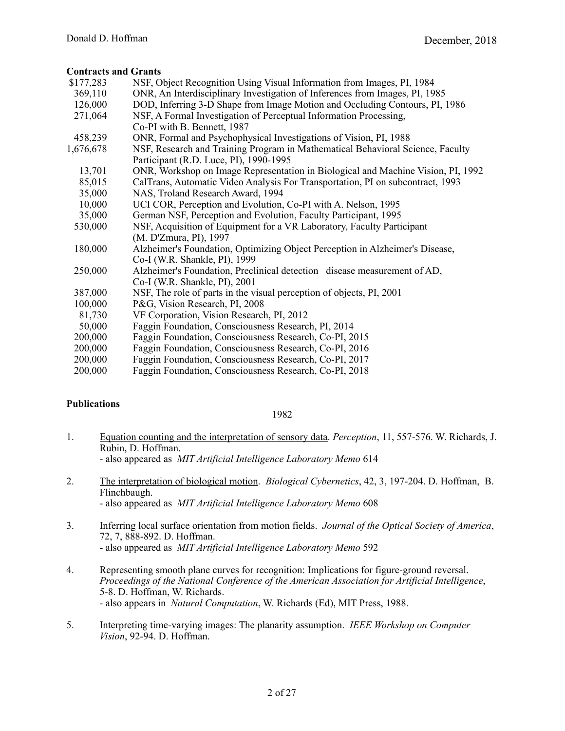# **Contracts and Grants**

| \$177,283 | NSF, Object Recognition Using Visual Information from Images, PI, 1984                                                   |
|-----------|--------------------------------------------------------------------------------------------------------------------------|
| 369,110   | ONR, An Interdisciplinary Investigation of Inferences from Images, PI, 1985                                              |
| 126,000   | DOD, Inferring 3-D Shape from Image Motion and Occluding Contours, PI, 1986                                              |
| 271,064   | NSF, A Formal Investigation of Perceptual Information Processing,                                                        |
|           | Co-PI with B. Bennett, 1987                                                                                              |
| 458,239   | ONR, Formal and Psychophysical Investigations of Vision, PI, 1988                                                        |
|           |                                                                                                                          |
| 1,676,678 | NSF, Research and Training Program in Mathematical Behavioral Science, Faculty<br>Participant (R.D. Luce, PI), 1990-1995 |
| 13,701    | ONR, Workshop on Image Representation in Biological and Machine Vision, PI, 1992                                         |
| 85,015    | CalTrans, Automatic Video Analysis For Transportation, PI on subcontract, 1993                                           |
| 35,000    | NAS, Troland Research Award, 1994                                                                                        |
| 10,000    | UCI COR, Perception and Evolution, Co-PI with A. Nelson, 1995                                                            |
| 35,000    | German NSF, Perception and Evolution, Faculty Participant, 1995                                                          |
| 530,000   | NSF, Acquisition of Equipment for a VR Laboratory, Faculty Participant                                                   |
|           | (M. D'Zmura, PI), 1997                                                                                                   |
| 180,000   | Alzheimer's Foundation, Optimizing Object Perception in Alzheimer's Disease,                                             |
|           | Co-I (W.R. Shankle, PI), 1999                                                                                            |
| 250,000   | Alzheimer's Foundation, Preclinical detection disease measurement of AD,                                                 |
|           | Co-I (W.R. Shankle, PI), 2001                                                                                            |
| 387,000   | NSF, The role of parts in the visual perception of objects, PI, 2001                                                     |
| 100,000   | P&G, Vision Research, PI, 2008                                                                                           |
| 81,730    | VF Corporation, Vision Research, PI, 2012                                                                                |
| 50,000    | Faggin Foundation, Consciousness Research, PI, 2014                                                                      |
| 200,000   | Faggin Foundation, Consciousness Research, Co-PI, 2015                                                                   |
| 200,000   | Faggin Foundation, Consciousness Research, Co-PI, 2016                                                                   |
| 200,000   | Faggin Foundation, Consciousness Research, Co-PI, 2017                                                                   |
| 200,000   | Faggin Foundation, Consciousness Research, Co-PI, 2018                                                                   |
|           |                                                                                                                          |

# **Publications**

- 1. [Equation counting and the interpretation of sensory data](http://cogsci.uci.edu/~ddhoff/1982-1-EqnCount.pdf). *Perception*, 11, 557-576. W. Richards, J. Rubin, D. Hoffman. - also appeared as *MIT Artificial Intelligence Laboratory Memo* 614
- 2. [The interpretation of biological motion.](http://cogsci.uci.edu/~ddhoff/InterpBiologicalMotion.pdf) *Biological Cybernetics*, 42, 3, 197-204. D. Hoffman, B. Flinchbaugh. - also appeared as *MIT Artificial Intelligence Laboratory Memo* 608
- 3. Inferring local surface orientation from motion fields. *Journal of the Optical Society of America*, 72, 7, 888-892. D. Hoffman. - also appeared as *MIT Artificial Intelligence Laboratory Memo* 592
- 4. Representing smooth plane curves for recognition: Implications for figure-ground reversal. *Proceedings of the National Conference of the American Association for Artificial Intelligence*, 5-8. D. Hoffman, W. Richards. - also appears in *Natural Computation*, W. Richards (Ed), MIT Press, 1988.
- 5. Interpreting time-varying images: The planarity assumption. *IEEE Workshop on Computer Vision*, 92-94. D. Hoffman.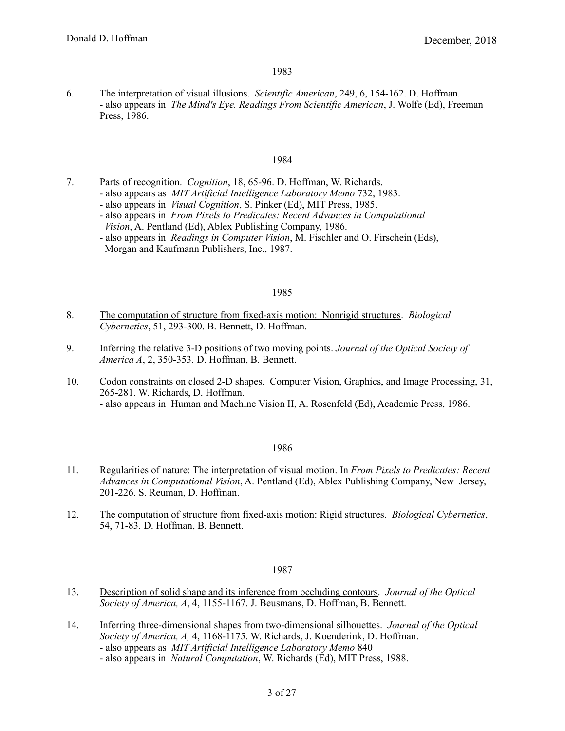6. [The interpretation of visual illusions](http://cogsci.uci.edu/~ddhoff/sciam.pdf). *Scientific American*, 249, 6, 154-162. D. Hoffman. - also appears in *The Mind's Eye. Readings From Scientific American*, J. Wolfe (Ed), Freeman Press, 1986.

# 1984

- 7. [Parts of recognition.](http://cogsci.uci.edu/~ddhoff/PartsOfRecog.pdf) *Cognition*, 18, 65-96. D. Hoffman, W. Richards.
	- also appears as *MIT Artificial Intelligence Laboratory Memo* 732, 1983.
	- also appears in *Visual Cognition*, S. Pinker (Ed), MIT Press, 1985.
	- also appears in *From Pixels to Predicates: Recent Advances in Computational Vision*, A. Pentland (Ed), Ablex Publishing Company, 1986.
	- also appears in *Readings in Computer Vision*, M. Fischler and O. Firschein (Eds), Morgan and Kaufmann Publishers, Inc., 1987.

#### 1985

- 8. [The computation of structure from fixed-axis motion: Nonrigid structures.](http://cogsci.uci.edu/~ddhoff/NonrigidFixedAxis.pdf) *Biological Cybernetics*, 51, 293-300. B. Bennett, D. Hoffman.
- 9. [Inferring the relative 3-D positions of two moving points](http://cogsci.uci.edu/~ddhoff/1985-9-TwoPointSFM.pdf). *Journal of the Optical Society of America A*, 2, 350-353. D. Hoffman, B. Bennett.
- 10. [Codon constraints on closed 2-D shapes](http://cogsci.uci.edu/~ddhoff/codons.pdf). Computer Vision, Graphics, and Image Processing, 31, 265-281. W. Richards, D. Hoffman. - also appears in Human and Machine Vision II, A. Rosenfeld (Ed), Academic Press, 1986.

# 1986

- 11. [Regularities of nature: The interpretation of visual motion.](http://cogsci.uci.edu/~ddhoff/RegularNature.pdf) In *From Pixels to Predicates: Recent Advances in Computational Vision*, A. Pentland (Ed), Ablex Publishing Company, New Jersey, 201-226. S. Reuman, D. Hoffman.
- 12. [The computation of structure from fixed-axis motion: Rigid structures.](http://cogsci.uci.edu/~ddhoff/FixedAxis.pdf) *Biological Cybernetics*, 54, 71-83. D. Hoffman, B. Bennett.

- 13. [Description of solid shape and its inference from occluding contours.](http://cogsci.uci.edu/~ddhoff/1987-13-SolidShape.pdf) *Journal of the Optical Society of America, A*, 4, 1155-1167. J. Beusmans, D. Hoffman, B. Bennett.
- 14. [Inferring three-dimensional shapes from two-dimensional silhouettes.](http://cogsci.uci.edu/~ddhoff/1987-14-Infer3DFromSilh.pdf) *Journal of the Optical Society of America, A,* 4, 1168-1175. W. Richards, J. Koenderink, D. Hoffman. - also appears as *MIT Artificial Intelligence Laboratory Memo* 840
	- also appears in *Natural Computation*, W. Richards (Ed), MIT Press, 1988.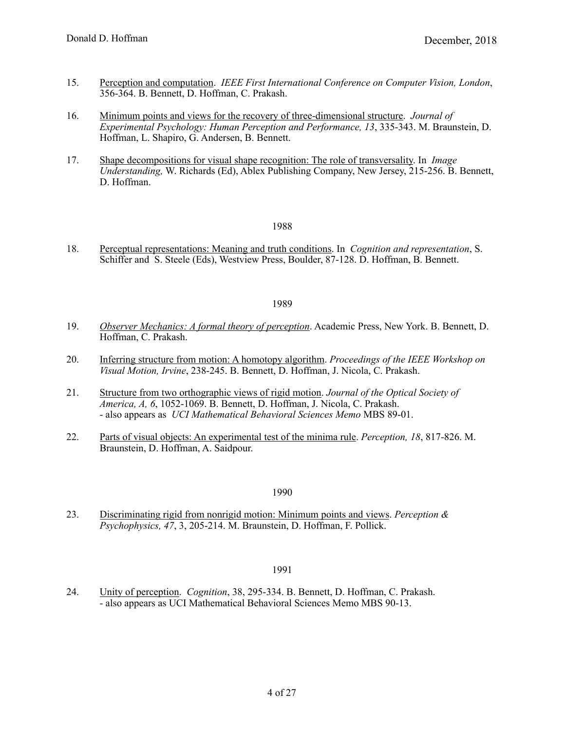- 15. [Perception and computation](http://cogsci.uci.edu/~ddhoff/PerceptionComputation.pdf). *IEEE First International Conference on Computer Vision, London*, 356-364. B. Bennett, D. Hoffman, C. Prakash.
- 16. [Minimum points and views for the recovery of three-dimensional structure.](http://cogsci.uci.edu/~ddhoff/1987-16-MinPtsRecvr3D.pdf) *Journal of Experimental Psychology: Human Perception and Performance, 13*, 335-343. M. Braunstein, D. Hoffman, L. Shapiro, G. Andersen, B. Bennett.
- 17. [Shape decompositions for visual shape recognition: The role of transversality.](http://cogsci.uci.edu/~ddhoff/ShapeDecomp.pdf) In *Image Understanding,* W. Richards (Ed), Ablex Publishing Company, New Jersey, 215-256. B. Bennett, D. Hoffman.

18. [Perceptual representations: Meaning and truth conditions](http://cogsci.uci.edu/~ddhoff/meaningtruth.pdf). In *Cognition and representation*, S. Schiffer and S. Steele (Eds), Westview Press, Boulder, 87-128. D. Hoffman, B. Bennett.

#### 1989

- 19. *[Observer Mechanics: A formal theory of perception](http://www.amazon.com/dp/0120886359/ref=cm_sw_su_dp)*. Academic Press, New York. B. Bennett, D. Hoffman, C. Prakash.
- 20. [Inferring structure from motion: A homotopy algorithm.](http://cogsci.uci.edu/~ddhoff/Homotopy.pdf) *Proceedings of the IEEE Workshop on Visual Motion, Irvine*, 238-245. B. Bennett, D. Hoffman, J. Nicola, C. Prakash.
- 21. [Structure from two orthographic views of rigid motion](http://cogsci.uci.edu/~ddhoff/1989-21-TwoViews.pdf). *Journal of the Optical Society of America, A, 6*, 1052-1069. B. Bennett, D. Hoffman, J. Nicola, C. Prakash. - also appears as *UCI Mathematical Behavioral Sciences Memo* MBS 89-01.
- 22. [Parts of visual objects: An experimental test of the minima rule.](http://cogsci.uci.edu/~ddhoff/1989-22-PartsExpTest.pdf) *Perception, 18*, 817-826. M. Braunstein, D. Hoffman, A. Saidpour.

#### 1990

23. [Discriminating rigid from nonrigid motion: Minimum points and views](http://cogsci.uci.edu/~ddhoff/1990-23-MinPtsVws.pdf). *Perception & Psychophysics, 47*, 3, 205-214. M. Braunstein, D. Hoffman, F. Pollick.

# 1991

24. [Unity of perception](http://cogsci.uci.edu/~ddhoff/1991-24-UnityOfPercept.pdf). *Cognition*, 38, 295-334. B. Bennett, D. Hoffman, C. Prakash. - also appears as UCI Mathematical Behavioral Sciences Memo MBS 90-13.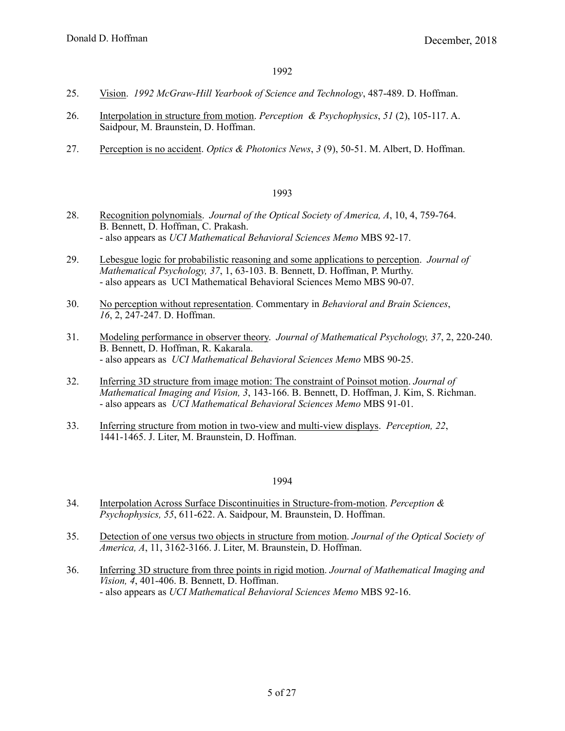- 25. [Vision.](http://cogsci.uci.edu/~ddhoff/1992-25-McGrawHill.pdf) *1992 McGraw-Hill Yearbook of Science and Technology*, 487-489. D. Hoffman.
- 26. [Interpolation in structure from motion](http://cogsci.uci.edu/~ddhoff/1992-26-InterpSFM.pdf). *Perception & Psychophysics*, *51* (2), 105-117. A. Saidpour, M. Braunstein, D. Hoffman.
- 27. [Perception is no accident](http://cogsci.uci.edu/~ddhoff/PerceptNoAccident.pdf). *Optics & Photonics News*, *3* (9), 50-51. M. Albert, D. Hoffman.

- 28. [Recognition polynomials.](http://cogsci.uci.edu/~ddhoff/1993-28-RecogPolys.pdf) *Journal of the Optical Society of America, A*, 10, 4, 759-764. B. Bennett, D. Hoffman, C. Prakash. - also appears as *UCI Mathematical Behavioral Sciences Memo* MBS 92-17.
- 29. [Lebesgue logic for probabilistic reasoning and some applications to perception.](http://cogsci.uci.edu/~ddhoff/1993-29-Lebesgue.pdf) *Journal of Mathematical Psychology, 37*, 1, 63-103. B. Bennett, D. Hoffman, P. Murthy. - also appears as UCI Mathematical Behavioral Sciences Memo MBS 90-07.
- 30. [No perception without representation](http://cogsci.uci.edu/~ddhoff/perceprep.pdf). Commentary in *Behavioral and Brain Sciences*, *16*, 2, 247-247. D. Hoffman.
- 31. [Modeling performance in observer theory.](http://cogsci.uci.edu/~ddhoff/1993-31-ModelPerfor.pdf) *Journal of Mathematical Psychology, 37*, 2, 220-240. B. Bennett, D. Hoffman, R. Kakarala. - also appears as *UCI Mathematical Behavioral Sciences Memo* MBS 90-25.
- 32. [Inferring 3D structure from image motion: The constraint of Poinsot motion.](http://cogsci.uci.edu/~ddhoff/PoinsotMotion.pdf) *Journal of Mathematical Imaging and Vision, 3*, 143-166. B. Bennett, D. Hoffman, J. Kim, S. Richman. - also appears as *UCI Mathematical Behavioral Sciences Memo* MBS 91-01.
- 33. [Inferring structure from motion in two-view and multi-view displays](http://cogsci.uci.edu/~ddhoff/1993-33-SFMTwoViewMulti.pdf). *Perception, 22*, 1441-1465. J. Liter, M. Braunstein, D. Hoffman.

- 34. [Interpolation Across Surface Discontinuities in Structure-from-motion](http://cogsci.uci.edu/~ddhoff/1994-34-InterpDiscon.pdf). *Perception & Psychophysics, 55*, 611-622. A. Saidpour, M. Braunstein, D. Hoffman.
- 35. [Detection of one versus two objects in structure from motion.](http://cogsci.uci.edu/~ddhoff/1994-35-DetectTwoObj.pdf) *Journal of the Optical Society of America, A*, 11, 3162-3166. J. Liter, M. Braunstein, D. Hoffman.
- 36. [Inferring 3D structure from three points in rigid motion.](http://cogsci.uci.edu/~ddhoff/1994-36-ThreeRigidPts.pdf) *Journal of Mathematical Imaging and Vision, 4*, 401-406. B. Bennett, D. Hoffman. - also appears as *UCI Mathematical Behavioral Sciences Memo* MBS 92-16.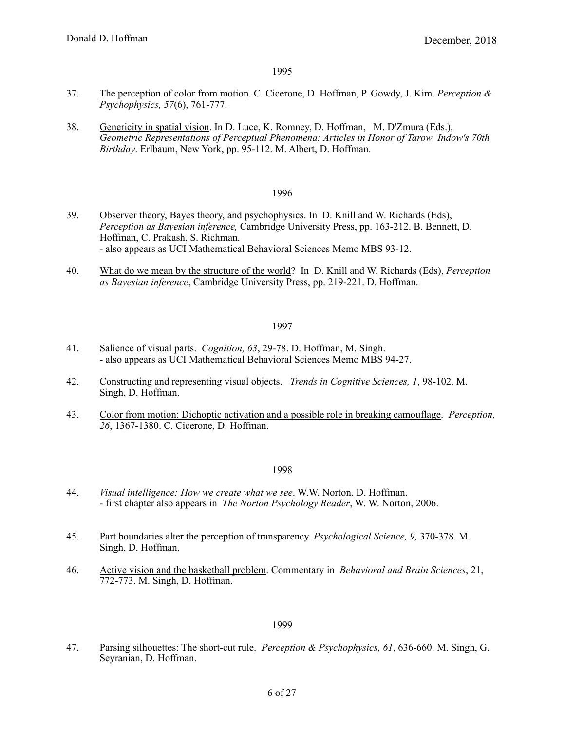- 37. [The perception of color from motion.](http://cogsci.uci.edu/~ddhoff/1995-37-CFM.pdf) C. Cicerone, D. Hoffman, P. Gowdy, J. Kim. *Perception & Psychophysics, 57*(6), 761-777.
- 38. [Genericity in spatial vision.](http://cogsci.uci.edu/~ddhoff/GenericitySpatialVision.pdf) In D. Luce, K. Romney, D. Hoffman, M. D'Zmura (Eds.), *Geometric Representations of Perceptual Phenomena: Articles in Honor of Tarow Indow's 70th Birthday*. Erlbaum, New York, pp. 95-112. M. Albert, D. Hoffman.

#### 1996

- 39. [Observer theory, Bayes theory, and psychophysics](http://cogsci.uci.edu/~ddhoff/1996-39-ObserverBayes.pdf). In D. Knill and W. Richards (Eds), *Perception as Bayesian inference,* Cambridge University Press, pp. 163-212. B. Bennett, D. Hoffman, C. Prakash, S. Richman. - also appears as UCI Mathematical Behavioral Sciences Memo MBS 93-12.
- 40. [What do we mean by the structure of the world](http://cogsci.uci.edu/~ddhoff/StructureOfWorld.pdf)? In D. Knill and W. Richards (Eds), *Perception as Bayesian inference*, Cambridge University Press, pp. 219-221. D. Hoffman.

# 1997

- 41. [Salience of visual parts](http://cogsci.uci.edu/~ddhoff/1997-41-Salience.pdf). *Cognition, 63*, 29-78. D. Hoffman, M. Singh. - also appears as UCI Mathematical Behavioral Sciences Memo MBS 94-27.
- 42. [Constructing and representing visual objects.](http://cogsci.uci.edu/~ddhoff/1997-42-TICS.pdf) *Trends in Cognitive Sciences, 1*, 98-102. M. Singh, D. Hoffman.
- 43. [Color from motion: Dichoptic activation and a possible role in breaking camouflage.](http://cogsci.uci.edu/~ddhoff/1997-43-Dichoptic.pdf) *Perception, 26*, 1367-1380. C. Cicerone, D. Hoffman.

#### 1998

- 44. *[Visual intelligence: How we create what we see](http://www.amazon.com/dp/0393319679/ref=cm_sw_su_dp)*. W.W. Norton. D. Hoffman. - first chapter also appears in *The Norton Psychology Reader*, W. W. Norton, 2006.
- 45. [Part boundaries alter the perception of transparency.](http://cogsci.uci.edu/~ddhoff/1998-45-PartTransp.pdf) *Psychological Science, 9,* 370-378. M. Singh, D. Hoffman.
- 46. [Active vision and the basketball problem.](http://cogsci.uci.edu/~ddhoff/BasketballProblem.pdf) Commentary in *Behavioral and Brain Sciences*, 21, 772-773. M. Singh, D. Hoffman.

#### 1999

47. [Parsing silhouettes: The short-cut rule](http://cogsci.uci.edu/~ddhoff/Parsing.pdf). *Perception & Psychophysics, 61*, 636-660. M. Singh, G. Seyranian, D. Hoffman.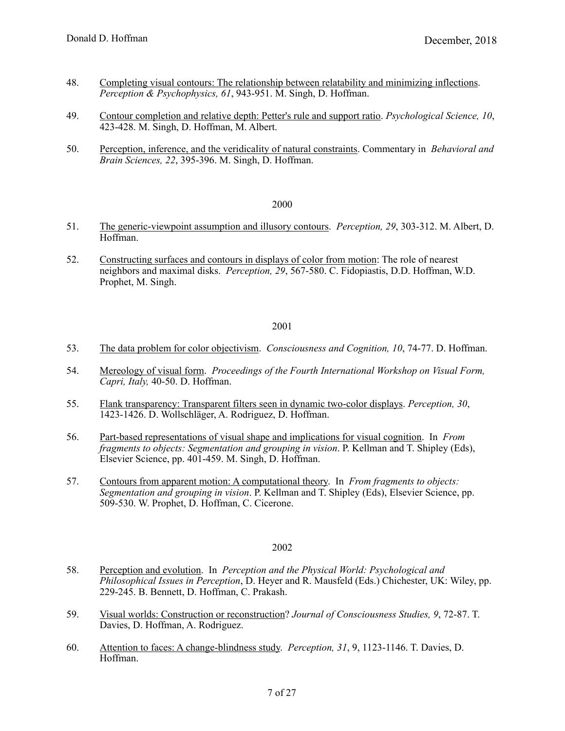- 48. [Completing visual contours: The relationship between relatability and minimizing inflections](http://cogsci.uci.edu/~ddhoff/relatab.pdf). *Perception & Psychophysics, 61*, 943-951. M. Singh, D. Hoffman.
- 49. [Contour completion and relative depth: Petter's rule and support ratio.](http://cogsci.uci.edu/~ddhoff/Petter.pdf) *Psychological Science, 10*, 423-428. M. Singh, D. Hoffman, M. Albert.
- 50. [Perception, inference, and the veridicality of natural constraints](http://cogsci.uci.edu/~ddhoff/NaturalConstraints.pdf). Commentary in *Behavioral and Brain Sciences, 22*, 395-396. M. Singh, D. Hoffman.

- 51. [The generic-viewpoint assumption and illusory contours](http://cogsci.uci.edu/~ddhoff/Generic.pdf). *Perception, 29*, 303-312. M. Albert, D. Hoffman.
- 52. [Constructing surfaces and contours in displays of color from motion](http://cogsci.uci.edu/~ddhoff/ConstructingSurfaces.pdf): The role of nearest neighbors and maximal disks. *Perception, 29*, 567-580. C. Fidopiastis, D.D. Hoffman, W.D. Prophet, M. Singh.

#### 2001

- 53. [The data problem for color objectivism.](http://cogsci.uci.edu/~ddhoff/2001-53-ColorObjectivism.pdf) *Consciousness and Cognition, 10*, 74-77. D. Hoffman.
- 54. [Mereology of visual form](http://cogsci.uci.edu/~ddhoff/2001-54-Mereology.pdf). *Proceedings of the Fourth International Workshop on Visual Form, Capri, Italy,* 40-50. D. Hoffman.
- 55. [Flank transparency: Transparent filters seen in dynamic two-color displays.](http://cogsci.uci.edu/~ddhoff/Flank.pdf) *Perception, 30*, 1423-1426. D. Wollschläger, A. Rodriguez, D. Hoffman.
- 56. [Part-based representations of visual shape and implications for visual cognition](http://cogsci.uci.edu/~ddhoff/2001-56-PartBasedReps.pdf). In *From fragments to objects: Segmentation and grouping in vision.* P. Kellman and T. Shipley (Eds), Elsevier Science, pp. 401-459. M. Singh, D. Hoffman.
- 57. [Contours from apparent motion: A computational theory.](http://cogsci.uci.edu/~ddhoff/2001-57-MotionContours.pdf) In *From fragments to objects: Segmentation and grouping in vision*. P. Kellman and T. Shipley (Eds), Elsevier Science, pp. 509-530. W. Prophet, D. Hoffman, C. Cicerone.

- 58. [Perception and evolution.](http://cogsci.uci.edu/~ddhoff/2002-58-Evolution.pdf) In *Perception and the Physical World: Psychological and Philosophical Issues in Perception*, D. Heyer and R. Mausfeld (Eds.) Chichester, UK: Wiley, pp. 229-245. B. Bennett, D. Hoffman, C. Prakash.
- 59. [Visual worlds: Construction or reconstruction?](http://cogsci.uci.edu/~ddhoff/2002-59-Reconstruction.pdf) *Journal of Consciousness Studies, 9*, 72-87. T. Davies, D. Hoffman, A. Rodriguez.
- 60. [Attention to faces: A change-blindness study.](http://cogsci.uci.edu/~ddhoff/AttentionToFaces.pdf) *Perception, 31*, 9, 1123-1146. T. Davies, D. Hoffman.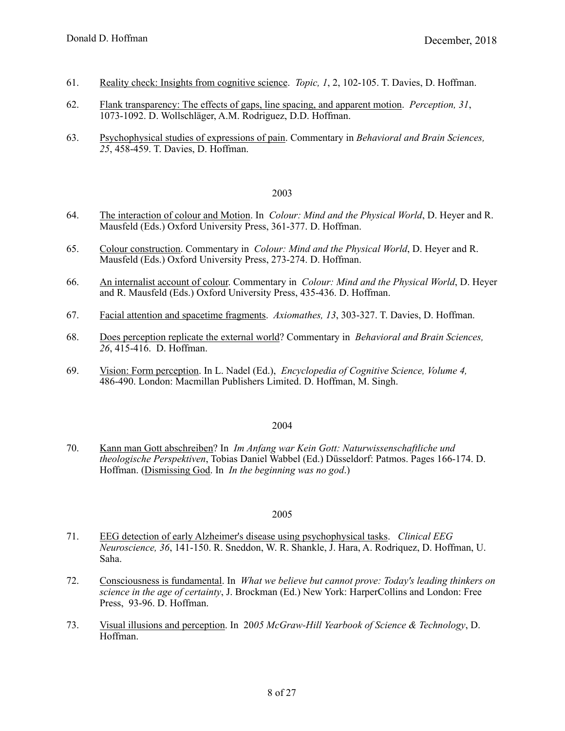- 61. [Reality check: Insights from cognitive science.](http://cogsci.uci.edu/~ddhoff/TopicRealityCheck.pdf) *Topic, 1*, 2, 102-105. T. Davies, D. Hoffman.
- 62. [Flank transparency: The effects of gaps, line spacing, and apparent motion.](http://cogsci.uci.edu/~ddhoff/FlankGap.pdf) *Perception, 31*, 1073-1092. D. Wollschläger, A.M. Rodriguez, D.D. Hoffman.
- 63. [Psychophysical studies of expressions of pain](http://cogsci.uci.edu/~ddhoff/PainExpressions.pdf). Commentary in *Behavioral and Brain Sciences, 25*, 458-459. T. Davies, D. Hoffman.

- 64. [The interaction of colour and Motion](http://cogsci.uci.edu/~ddhoff/2003-64-InteractionCM.pdf). In *Colour: Mind and the Physical World*, D. Heyer and R. Mausfeld (Eds.) Oxford University Press, 361-377. D. Hoffman.
- 65. [Colour construction.](http://cogsci.uci.edu/~ddhoff/2003-65-BrownComments.pdf) Commentary in *Colour: Mind and the Physical World*, D. Heyer and R. Mausfeld (Eds.) Oxford University Press, 273-274. D. Hoffman.
- 66. [An internalist account of colour.](http://cogsci.uci.edu/~ddhoff/2003-66-RainerComments.pdf) Commentary in *Colour: Mind and the Physical World*, D. Heyer and R. Mausfeld (Eds.) Oxford University Press, 435-436. D. Hoffman.
- 67. [Facial attention and spacetime fragments](http://cogsci.uci.edu/~ddhoff/FaceFragments.pdf). *Axiomathes, 13*, 303-327. T. Davies, D. Hoffman.
- 68. [Does perception replicate the external world](http://cogsci.uci.edu/~ddhoff/2004-69-Replicate.pdf)? Commentary in *Behavioral and Brain Sciences, 26*, 415-416. D. Hoffman.
- 69. [Vision: Form perception.](http://cogsci.uci.edu/~ddhoff/ecs.pdf) In L. Nadel (Ed.), *Encyclopedia of Cognitive Science, Volume 4,* 486-490. London: Macmillan Publishers Limited. D. Hoffman, M. Singh.

#### 2004

70. [Kann man Gott abschreiben](http://cogsci.uci.edu/~ddhoff/2004-71-DismissingGod.pdf)? In *Im Anfang war Kein Gott: Naturwissenschaftliche und theologische Perspektiven*, Tobias Daniel Wabbel (Ed.) Düsseldorf: Patmos. Pages 166-174. D. Hoffman. ([Dismissing God.](http://cogsci.uci.edu/~ddhoff/2004-71-DismissingGod.pdf) In *In the beginning was no god*.)

- 71. [EEG detection of early Alzheimer's disease using psychophysical tasks](http://cogsci.uci.edu/~ddhoff/ClinicalEEG.pdf). *Clinical EEG Neuroscience, 36*, 141-150. R. Sneddon, W. R. Shankle, J. Hara, A. Rodriquez, D. Hoffman, U. Saha.
- 72. [Consciousness is fundamental.](http://edge.org/q2005/q05_4.html#hoffman) In *What we believe but cannot prove: Today's leading thinkers on science in the age of certainty*, J. Brockman (Ed.) New York: HarperCollins and London: Free Press, 93-96. D. Hoffman.
- 73. [Visual illusions and perception.](http://cogsci.uci.edu/~ddhoff/Mcgraw-Hill2005.pdf) In 20*05 McGraw-Hill Yearbook of Science & Technology*, D. Hoffman.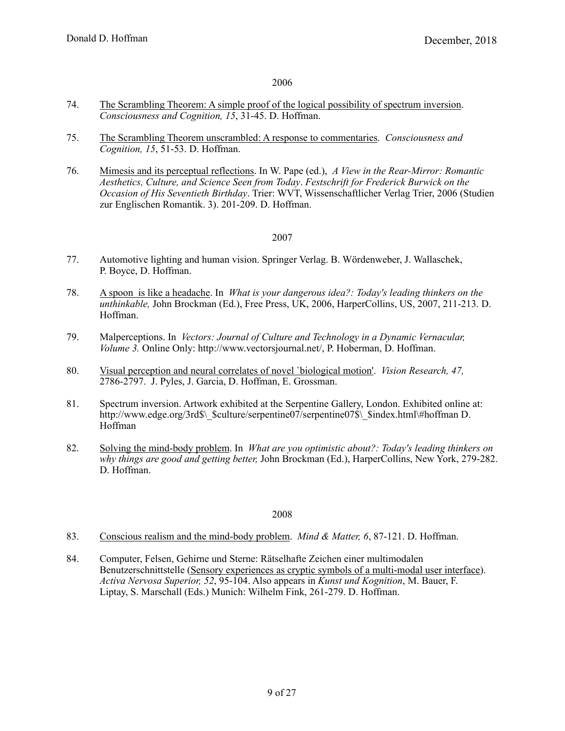- 74. [The Scrambling Theorem: A simple proof of the logical possibility of spectrum inversion](http://cogsci.uci.edu/~ddhoff/ScrambleProof.pdf). *Consciousness and Cognition, 15*, 31-45. D. Hoffman.
- 75. [The Scrambling Theorem unscrambled: A response to commentaries](http://cogsci.uci.edu/~ddhoff/unscrambled.pdf). *Consciousness and Cognition, 15*, 51-53. D. Hoffman.
- 76. [Mimesis and its perceptual reflections](http://cogsci.uci.edu/~ddhoff/mimesis.pdf). In W. Pape (ed.), *A View in the Rear-Mirror: Romantic Aesthetics, Culture, and Science Seen from Today*. *Festschrift for Frederick Burwick on the Occasion of His Seventieth Birthday*. Trier: WVT, Wissenschaftlicher Verlag Trier, 2006 (Studien zur Englischen Romantik. 3). 201-209. D. Hoffman.

#### 2007

- 77. Automotive lighting and human vision. Springer Verlag. B. Wördenweber, J. Wallaschek, P. Boyce, D. Hoffman.
- 78. [A spoon is like a headache.](http://edge.org/q2006/q06_3.html#hoffman) In *What is your dangerous idea?: Today's leading thinkers on the unthinkable,* John Brockman (Ed.), Free Press, UK, 2006, HarperCollins, US, 2007, 211-213. D. Hoffman.
- 79. Malperceptions. In *Vectors: Journal of Culture and Technology in a Dynamic Vernacular, Volume 3.* Online Only: http://www.vectorsjournal.net/, P. Hoberman, D. Hoffman.
- 80. [Visual perception and neural correlates of novel `biological motion'](http://cogsci.uci.edu/~ddhoff/VR.pdf). *Vision Research, 47,* 2786-2797. J. Pyles, J. Garcia, D. Hoffman, E. Grossman.
- 81. Spectrum inversion. Artwork exhibited at the Serpentine Gallery, London. Exhibited online at: http://www.edge.org/3rd\$\ Sculture/serpentine07/serpentine07\$\ \$index.html\#hoffman D. Hoffman
- 82. [Solving the mind-body problem.](http://edge.org/q2007/q07_2.html#hoffman) In *What are you optimistic about?: Today's leading thinkers on why things are good and getting better,* John Brockman (Ed.), HarperCollins, New York, 279-282. D. Hoffman.

- 83. [Conscious realism and the mind-body problem](http://cogsci.uci.edu/~ddhoff/ConsciousRealism2.pdf). *Mind & Matter, 6*, 87-121. D. Hoffman.
- 84. Computer, Felsen, Gehirne und Sterne: Rätselhafte Zeichen einer multimodalen Benutzerschnittstelle ([Sensory experiences as cryptic symbols of a multi-modal user interface](http://cogsci.uci.edu/~ddhoff/CrypticSymbols.pdf)). *Activa Nervosa Superior, 52*, 95-104. Also appears in *Kunst und Kognition*, M. Bauer, F. Liptay, S. Marschall (Eds.) Munich: Wilhelm Fink, 261-279. D. Hoffman.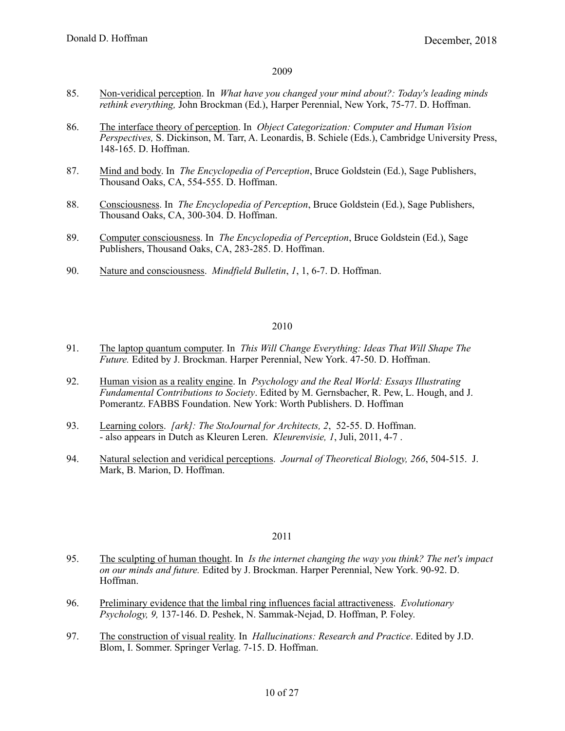- 85. [Non-veridical perception](http://edge.org/q2008/q08_1.html#hoffman). In *What have you changed your mind about?: Today's leading minds rethink everything,* John Brockman (Ed.), Harper Perennial, New York, 75-77. D. Hoffman.
- 86. [The interface theory of perception](http://cogsci.uci.edu/~ddhoff/interface.pdf). In *Object Categorization: Computer and Human Vision Perspectives,* S. Dickinson, M. Tarr, A. Leonardis, B. Schiele (Eds.), Cambridge University Press, 148-165. D. Hoffman.
- 87. [Mind and body.](http://cogsci.uci.edu/~ddhoff/HoffmanMindBody.pdf) In *The Encyclopedia of Perception*, Bruce Goldstein (Ed.), Sage Publishers, Thousand Oaks, CA, 554-555. D. Hoffman.
- 88. [Consciousness.](http://cogsci.uci.edu/~ddhoff/HoffmanConsciousness.pdf) In *The Encyclopedia of Perception*, Bruce Goldstein (Ed.), Sage Publishers, Thousand Oaks, CA, 300-304. D. Hoffman.
- 89. [Computer consciousness](http://cogsci.uci.edu/~ddhoff/HoffmanComputerConsciousness.pdf). In *The Encyclopedia of Perception*, Bruce Goldstein (Ed.), Sage Publishers, Thousand Oaks, CA, 283-285. D. Hoffman.
- 90. [Nature and consciousness.](http://cogsci.uci.edu/~ddhoff/Hoffman-90.pdf) *Mindfield Bulletin*, *1*, 1, 6-7. D. Hoffman.

# 2010

- 91. [The laptop quantum computer.](http://edge.org/q2009/q09_5.html#hoffman) In *This Will Change Everything: Ideas That Will Shape The Future.* Edited by J. Brockman. Harper Perennial, New York. 47-50. D. Hoffman.
- 92. [Human vision as a reality engine](http://cogsci.uci.edu/~ddhoff/HoffmanFABBS.pdf). In *Psychology and the Real World: Essays Illustrating Fundamental Contributions to Society*. Edited by M. Gernsbacher, R. Pew, L. Hough, and J. Pomerantz. FABBS Foundation. New York: Worth Publishers. D. Hoffman
- 93. [Learning colors](http://cogsci.uci.edu/~ddhoff/LearningColors.pdf). *[ark]: The StoJournal for Architects, 2*, 52-55. D. Hoffman. - also appears in Dutch as Kleuren Leren. *Kleurenvisie, 1*, Juli, 2011, 4-7 .
- 94. [Natural selection and veridical perceptions](http://cogsci.uci.edu/~ddhoff/PerceptualEvolution.pdf). *Journal of Theoretical Biology, 266*, 504-515. J. Mark, B. Marion, D. Hoffman.

- 95. [The sculpting of human thought](http://edge.org/q2010/q10_6.html#hoffman). In *Is the internet changing the way you think? The net's impact on our minds and future.* Edited by J. Brockman. Harper Perennial, New York. 90-92. D. Hoffman.
- 96. [Preliminary evidence that the limbal ring influences facial attractiveness](http://cogsci.uci.edu/~ddhoff/EP09137146.pdf). *Evolutionary Psychology, 9,* 137-146. D. Peshek, N. Sammak-Nejad, D. Hoffman, P. Foley.
- 97. [The construction of visual reality.](http://cogsci.uci.edu/~ddhoff/ConstructionOfVisualReality.pdf) In *Hallucinations: Research and Practice*. Edited by J.D. Blom, I. Sommer. Springer Verlag. 7-15. D. Hoffman.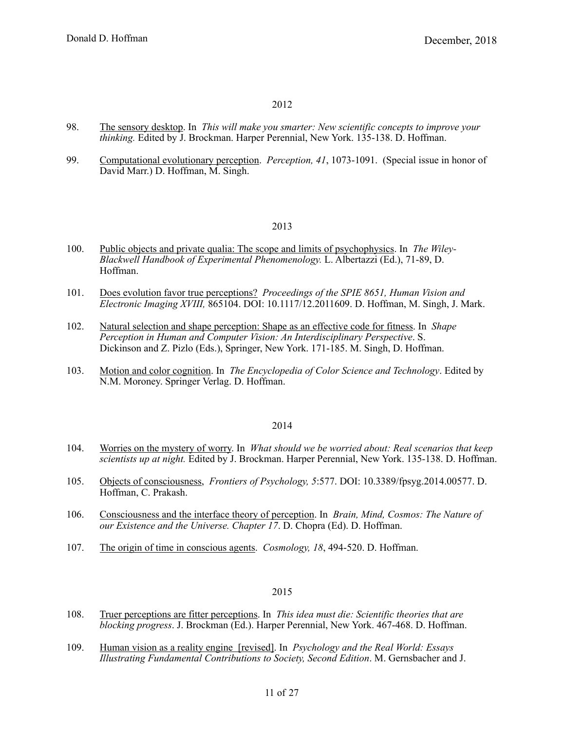- 98. [The sensory desktop](https://edge.org/response-detail/10495). In *This will make you smarter: New scientific concepts to improve your thinking.* Edited by J. Brockman. Harper Perennial, New York. 135-138. D. Hoffman.
- 99. [Computational evolutionary perception.](http://cogsci.uci.edu/~ddhoff/HoffmanSinghMarr.pdf) *Perception, 41*, 1073-1091. (Special issue in honor of David Marr.) D. Hoffman, M. Singh.

#### 2013

- 100. [Public objects and private qualia: The scope and limits of psychophysics](http://cogsci.uci.edu/~ddhoff/Albertazzi_4682_c02_main.pdf). In *The Wiley- Blackwell Handbook of Experimental Phenomenology.* L. Albertazzi (Ed.), 71-89, D. Hoffman.
- 101. [Does evolution favor true perceptions?](http://cogsci.uci.edu/~ddhoff/HoffmanSPIEPaper2013) *Proceedings of the SPIE 8651, Human Vision and Electronic Imaging XVIII,* 865104. DOI: 10.1117/12.2011609. D. Hoffman, M. Singh, J. Mark.
- 102. [Natural selection and shape perception: Shape as an effective code for fitness.](http://cogsci.uci.edu/~ddhoff/ShapeFitness.pdf) In *Shape Perception in Human and Computer Vision: An Interdisciplinary Perspective*. S. Dickinson and Z. Pizlo (Eds.), Springer, New York. 171-185. M. Singh, D. Hoffman.
- 103. [Motion and color cognition.](http://cogsci.uci.edu/~ddhoff/MotionAndColorCognition) In *The Encyclopedia of Color Science and Technology*. Edited by N.M. Moroney. Springer Verlag. D. Hoffman.

#### 2014

- 104. [Worries on the mystery of worry.](https://edge.org/response-detail/23760) In *What should we be worried about: Real scenarios that keep scientists up at night.* Edited by J. Brockman. Harper Perennial, New York. 135-138. D. Hoffman.
- 105. [Objects of consciousness,](http://journal.frontiersin.org/article/10.3389/fpsyg.2014.00577/full) *Frontiers of Psychology, 5*:577. DOI: 10.3389/fpsyg.2014.00577. D. Hoffman, C. Prakash.
- 106. [Consciousness and the interface theory of perception.](http://cogsci.uci.edu/~ddhoff/Chapter17Hoffman.pdf) In *Brain, Mind, Cosmos: The Nature of our Existence and the Universe. Chapter 17*. D. Chopra (Ed). D. Hoffman.
- 107. [The origin of time in conscious agents.](http://cogsci.uci.edu/~ddhoff/HoffmanTime.pdf) *Cosmology, 18*, 494-520. D. Hoffman.

- 108. [Truer perceptions are fitter perceptions](http://edge.org/response-detail/25450). In *This idea must die: Scientific theories that are blocking progress*. J. Brockman (Ed.). Harper Perennial, New York. 467-468. D. Hoffman.
- 109. [Human vision as a reality engine \[revised\]](http://cogsci.uci.edu/~ddhoff/FABBS_CH04a_Hoffman_2013). In *Psychology and the Real World: Essays Illustrating Fundamental Contributions to Society, Second Edition*. M. Gernsbacher and J.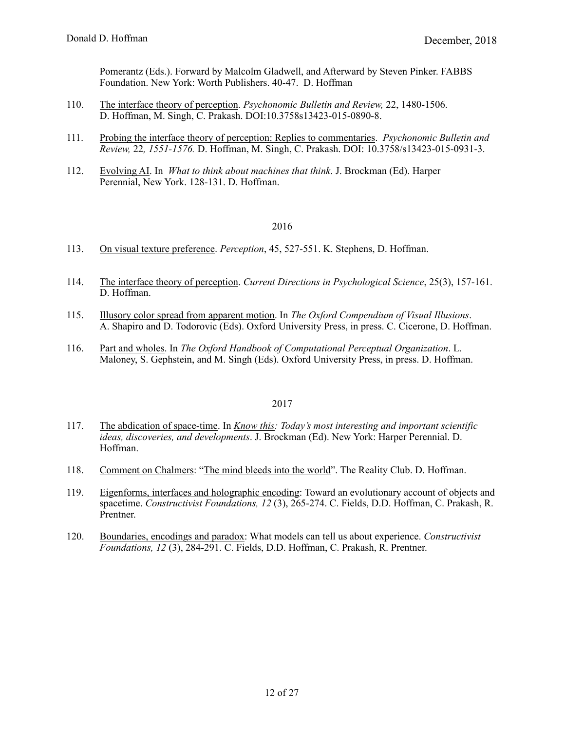Pomerantz (Eds.). Forward by Malcolm Gladwell, and Afterward by Steven Pinker. FABBS Foundation. New York: Worth Publishers. 40-47. D. Hoffman

- 110. [The interface theory of perception](http://link.springer.com/article/10.3758%2Fs13423-015-0890-8). *Psychonomic Bulletin and Review,* 22, 1480-1506. D. Hoffman, M. Singh, C. Prakash. DOI:10.3758s13423-015-0890-8.
- 111. [Probing the interface theory of perception: Replies to commentaries.](http://link.springer.com/article/10.3758%2Fs13423-015-0931-3) *Psychonomic Bulletin and Review,* 22*, 1551-1576.* D. Hoffman, M. Singh, C. Prakash. DOI: 10.3758/s13423-015-0931-3.
- 112. [Evolving AI](http://edge.org/response-detail/26036). In *What to think about machines that think*. J. Brockman (Ed). Harper Perennial, New York. 128-131. D. Hoffman.

# 2016

- 113. [On visual texture preference.](http://cogsci.uci.edu/~ddhoff/TexturePreference_2015.pdf) *Perception*, 45, 527-551. K. Stephens, D. Hoffman.
- 114. [The interface theory of perception](http://cogsci.uci.edu/~ddhoff/Hoffman_ITP_Current_Directions_Revised.pdf). *Current Directions in Psychological Science*, 25(3), 157-161. D. Hoffman.
- 115. [Illusory color spread from apparent motion.](http://cogsci.uci.edu/~ddhoff/Apparent_Motion_2016.pdf) In *The Oxford Compendium of Visual Illusions*. A. Shapiro and D. Todorovic (Eds). Oxford University Press, in press. C. Cicerone, D. Hoffman.
- 116. [Part and wholes](http://cogsci.uci.edu/~ddhoff/HoffmanPartsAndWholes.pdf). In *The Oxford Handbook of Computational Perceptual Organization*. L. Maloney, S. Gephstein, and M. Singh (Eds). Oxford University Press, in press. D. Hoffman.

- 117. [The abdication of space-time.](http://edge.org/response-detail/26563) In *[Know this:](https://www.amazon.com/Know-This-Interesting-Discoveries-Developments/dp/0062562061/ref=mt_paperback?_encoding=UTF8&me=) Today's most interesting and important scientific ideas, discoveries, and developments*. J. Brockman (Ed). New York: Harper Perennial. D. Hoffman.
- 118. [Comment on Chalmers](https://www.edge.org/conversation/david_chalmers-the-mind-bleeds-into-the-world#27263): "[The mind bleeds into the world](https://www.edge.org/conversation/david_chalmers-the-mind-bleeds-into-the-world)". The Reality Club. D. Hoffman.
- 119. [Eigenforms, interfaces and holographic encoding:](http://cogsci.uci.edu/~ddhoff/eigenforms2017.pdf) Toward an evolutionary account of objects and spacetime. *Constructivist Foundations, 12* (3), 265-274. C. Fields, D.D. Hoffman, C. Prakash, R. Prentner.
- 120. [Boundaries, encodings and paradox](http://cogsci.uci.edu/~ddhoff/eigenforms2017.pdf): What models can tell us about experience. *Constructivist Foundations, 12* (3), 284-291. C. Fields, D.D. Hoffman, C. Prakash, R. Prentner.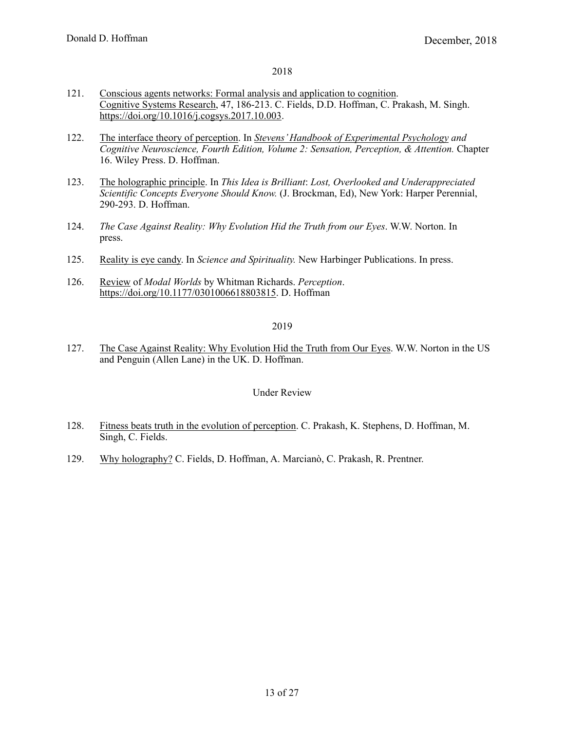- 121. [Conscious agents networks: Formal analysis and application to cognition](http://cogsci.uci.edu/~ddhoff/CA-circuits-CSR-rev.pdf). [Cognitive Systems Research,](https://www.journals.elsevier.com/cognitive-systems-research/) 47, 186-213. C. Fields, D.D. Hoffman, C. Prakash, M. Singh. <https://doi.org/10.1016/j.cogsys.2017.10.003>.
- 122. [The interface theory of perception](http://cogsci.uci.edu/~ddhoff/Hoffman-Stevens-Handbook.pdf). In *[Stevens' Handbook of Experimental Psychology](https://www.amazon.com/Experimental-Psychology-Cognitive-Neuroscience-Perception-ebook/dp/B079SSPBPW/ref=sr_1_3?s=digital-text&ie=UTF8&qid=1532392893&sr=1-3&keywords=stevens) and Cognitive Neuroscience, Fourth Edition, Volume 2: Sensation, Perception, & Attention.* Chapter 16. Wiley Press. D. Hoffman.
- 123. [The holographic principle](https://www.edge.org/response-detail/27026). In *This Idea is Brilliant*: *Lost, Overlooked and Underappreciated Scientific Concepts Everyone Should Know.* (J. Brockman, Ed), New York: Harper Perennial, 290-293. D. Hoffman.
- 124. *The Case Against Reality: Why Evolution Hid the Truth from our Eyes*. W.W. Norton. In press.
- 125. [Reality is eye candy.](http://cogsci.uci.edu/~ddhoff/RealityIsEyeCandy.pdf) In *Science and Spirituality.* New Harbinger Publications. In press.
- 126. [Review](http://cogsci.uci.edu/~ddhoff/ModalWorldsReview) of *Modal Worlds* by Whitman Richards. *Perception*. <https://doi.org/10.1177/0301006618803815>. D. Hoffman

# 2019

127. [The Case Against Reality: Why Evolution Hid the Truth from Our Eyes](https://www.amazon.com/Case-Against-Reality-Evolution-Truth/dp/0393254690/ref=sr_1_6?s=books&ie=UTF8&qid=1540324581&sr=1-6). W.W. Norton in the US and Penguin (Allen Lane) in the UK. D. Hoffman.

# Under Review

- 128. [Fitness beats truth in the evolution of perception.](http://cogsci.uci.edu/~ddhoff/FitnessBeatsTruth_apa_PBR) C. Prakash, K. Stephens, D. Hoffman, M. Singh, C. Fields.
- 129. [Why holography?](http://cogsci.uci.edu/~ddhoff/why-holography-fp_2_June_2018) C. Fields, D. Hoffman, A. Marcianò, C. Prakash, R. Prentner.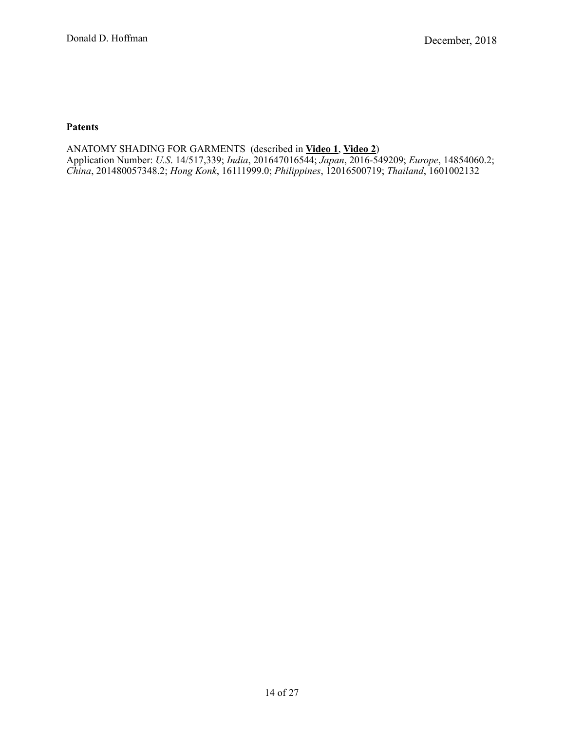# **Patents**

ANATOMY SHADING FOR GARMENTS (described in **[Video 1](https://www.youtube.com/watch?v=09F8IVLmcVg)**, **[Video 2](https://vimeo.com/180383332)**) Application Number: *U.S*. 14/517,339; *India*, 201647016544; *Japan*, 2016-549209; *Europe*, 14854060.2; *China*, 201480057348.2; *Hong Konk*, 16111999.0; *Philippines*, 12016500719; *Thailand*, 1601002132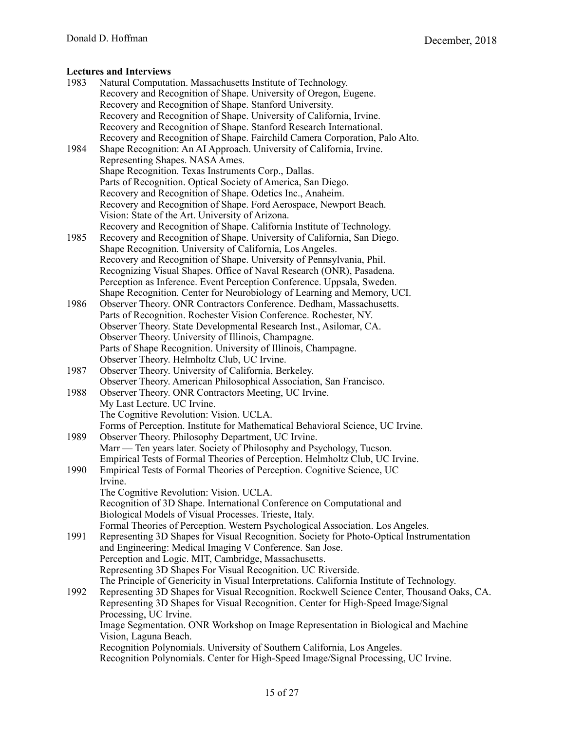| 1983 | Natural Computation. Massachusetts Institute of Technology.                                |
|------|--------------------------------------------------------------------------------------------|
|      | Recovery and Recognition of Shape. University of Oregon, Eugene.                           |
|      | Recovery and Recognition of Shape. Stanford University.                                    |
|      | Recovery and Recognition of Shape. University of California, Irvine.                       |
|      | Recovery and Recognition of Shape. Stanford Research International.                        |
|      | Recovery and Recognition of Shape. Fairchild Camera Corporation, Palo Alto.                |
| 1984 | Shape Recognition: An AI Approach. University of California, Irvine.                       |
|      | Representing Shapes. NASA Ames.                                                            |
|      | Shape Recognition. Texas Instruments Corp., Dallas.                                        |
|      | Parts of Recognition. Optical Society of America, San Diego.                               |
|      | Recovery and Recognition of Shape. Odetics Inc., Anaheim.                                  |
|      | Recovery and Recognition of Shape. Ford Aerospace, Newport Beach.                          |
|      | Vision: State of the Art. University of Arizona.                                           |
|      |                                                                                            |
| 1985 | Recovery and Recognition of Shape. California Institute of Technology.                     |
|      | Recovery and Recognition of Shape. University of California, San Diego.                    |
|      | Shape Recognition. University of California, Los Angeles.                                  |
|      | Recovery and Recognition of Shape. University of Pennsylvania, Phil.                       |
|      | Recognizing Visual Shapes. Office of Naval Research (ONR), Pasadena.                       |
|      | Perception as Inference. Event Perception Conference. Uppsala, Sweden.                     |
|      | Shape Recognition. Center for Neurobiology of Learning and Memory, UCI.                    |
| 1986 | Observer Theory. ONR Contractors Conference. Dedham, Massachusetts.                        |
|      | Parts of Recognition. Rochester Vision Conference. Rochester, NY.                          |
|      | Observer Theory. State Developmental Research Inst., Asilomar, CA.                         |
|      | Observer Theory. University of Illinois, Champagne.                                        |
|      | Parts of Shape Recognition. University of Illinois, Champagne.                             |
|      | Observer Theory. Helmholtz Club, UC Irvine.                                                |
| 1987 | Observer Theory. University of California, Berkeley.                                       |
|      | Observer Theory. American Philosophical Association, San Francisco.                        |
| 1988 | Observer Theory. ONR Contractors Meeting, UC Irvine.                                       |
|      | My Last Lecture. UC Irvine.                                                                |
|      | The Cognitive Revolution: Vision. UCLA.                                                    |
|      | Forms of Perception. Institute for Mathematical Behavioral Science, UC Irvine.             |
| 1989 | Observer Theory. Philosophy Department, UC Irvine.                                         |
|      | Marr — Ten years later. Society of Philosophy and Psychology, Tucson.                      |
|      | Empirical Tests of Formal Theories of Perception. Helmholtz Club, UC Irvine.               |
| 1990 | Empirical Tests of Formal Theories of Perception. Cognitive Science, UC                    |
|      | Irvine.                                                                                    |
|      | The Cognitive Revolution: Vision. UCLA.                                                    |
|      | Recognition of 3D Shape. International Conference on Computational and                     |
|      | Biological Models of Visual Processes. Trieste, Italy.                                     |
|      | Formal Theories of Perception. Western Psychological Association. Los Angeles.             |
| 1991 | Representing 3D Shapes for Visual Recognition. Society for Photo-Optical Instrumentation   |
|      | and Engineering: Medical Imaging V Conference. San Jose.                                   |
|      | Perception and Logic. MIT, Cambridge, Massachusetts.                                       |
|      | Representing 3D Shapes For Visual Recognition. UC Riverside.                               |
|      | The Principle of Genericity in Visual Interpretations. California Institute of Technology. |
| 1992 | Representing 3D Shapes for Visual Recognition. Rockwell Science Center, Thousand Oaks, CA. |
|      | Representing 3D Shapes for Visual Recognition. Center for High-Speed Image/Signal          |
|      | Processing, UC Irvine.                                                                     |
|      | Image Segmentation. ONR Workshop on Image Representation in Biological and Machine         |
|      | Vision, Laguna Beach.                                                                      |
|      | Recognition Polynomials. University of Southern California, Los Angeles.                   |
|      | Recognition Polynomials. Center for High-Speed Image/Signal Processing, UC Irvine.         |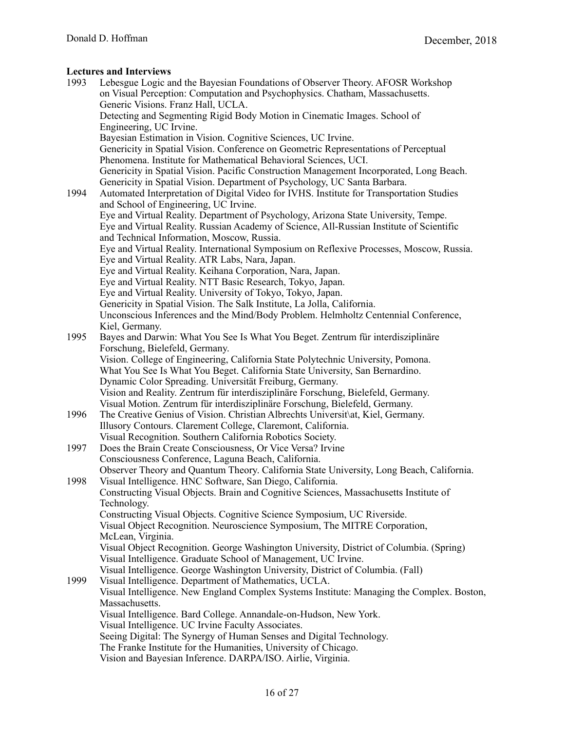| 1993 | Lebesgue Logic and the Bayesian Foundations of Observer Theory. AFOSR Workshop                                                          |
|------|-----------------------------------------------------------------------------------------------------------------------------------------|
|      | on Visual Perception: Computation and Psychophysics. Chatham, Massachusetts.                                                            |
|      | Generic Visions. Franz Hall, UCLA.                                                                                                      |
|      | Detecting and Segmenting Rigid Body Motion in Cinematic Images. School of                                                               |
|      | Engineering, UC Irvine.                                                                                                                 |
|      | Bayesian Estimation in Vision. Cognitive Sciences, UC Irvine.                                                                           |
|      | Genericity in Spatial Vision. Conference on Geometric Representations of Perceptual                                                     |
|      | Phenomena. Institute for Mathematical Behavioral Sciences, UCI.                                                                         |
|      | Genericity in Spatial Vision. Pacific Construction Management Incorporated, Long Beach.                                                 |
|      | Genericity in Spatial Vision. Department of Psychology, UC Santa Barbara.                                                               |
| 1994 | Automated Interpretation of Digital Video for IVHS. Institute for Transportation Studies                                                |
|      | and School of Engineering, UC Irvine.                                                                                                   |
|      | Eye and Virtual Reality. Department of Psychology, Arizona State University, Tempe.                                                     |
|      | Eye and Virtual Reality. Russian Academy of Science, All-Russian Institute of Scientific                                                |
|      | and Technical Information, Moscow, Russia.                                                                                              |
|      | Eye and Virtual Reality. International Symposium on Reflexive Processes, Moscow, Russia.                                                |
|      | Eye and Virtual Reality. ATR Labs, Nara, Japan.                                                                                         |
|      | Eye and Virtual Reality. Keihana Corporation, Nara, Japan.                                                                              |
|      | Eye and Virtual Reality. NTT Basic Research, Tokyo, Japan.                                                                              |
|      | Eye and Virtual Reality. University of Tokyo, Tokyo, Japan.                                                                             |
|      | Genericity in Spatial Vision. The Salk Institute, La Jolla, California.                                                                 |
|      | Unconscious Inferences and the Mind/Body Problem. Helmholtz Centennial Conference,                                                      |
|      | Kiel, Germany.                                                                                                                          |
| 1995 | Bayes and Darwin: What You See Is What You Beget. Zentrum für interdisziplinäre                                                         |
|      | Forschung, Bielefeld, Germany.                                                                                                          |
|      | Vision. College of Engineering, California State Polytechnic University, Pomona.                                                        |
|      | What You See Is What You Beget. California State University, San Bernardino.<br>Dynamic Color Spreading. Universität Freiburg, Germany. |
|      | Vision and Reality. Zentrum für interdisziplinäre Forschung, Bielefeld, Germany.                                                        |
|      | Visual Motion. Zentrum für interdisziplinäre Forschung, Bielefeld, Germany.                                                             |
| 1996 | The Creative Genius of Vision. Christian Albrechts Universit\at, Kiel, Germany.                                                         |
|      | Illusory Contours. Clarement College, Claremont, California.                                                                            |
|      | Visual Recognition. Southern California Robotics Society.                                                                               |
| 1997 | Does the Brain Create Consciousness, Or Vice Versa? Irvine                                                                              |
|      | Consciousness Conference, Laguna Beach, California.                                                                                     |
|      | Observer Theory and Quantum Theory. California State University, Long Beach, California.                                                |
| 1998 | Visual Intelligence. HNC Software, San Diego, California.                                                                               |
|      | Constructing Visual Objects. Brain and Cognitive Sciences, Massachusetts Institute of                                                   |
|      | Technology.                                                                                                                             |
|      | Constructing Visual Objects. Cognitive Science Symposium, UC Riverside.                                                                 |
|      | Visual Object Recognition. Neuroscience Symposium, The MITRE Corporation,                                                               |
|      | McLean, Virginia.                                                                                                                       |
|      | Visual Object Recognition. George Washington University, District of Columbia. (Spring)                                                 |
|      | Visual Intelligence. Graduate School of Management, UC Irvine.                                                                          |
|      | Visual Intelligence. George Washington University, District of Columbia. (Fall)                                                         |
| 1999 | Visual Intelligence. Department of Mathematics, UCLA.                                                                                   |
|      | Visual Intelligence. New England Complex Systems Institute: Managing the Complex. Boston,                                               |
|      | Massachusetts.                                                                                                                          |
|      | Visual Intelligence. Bard College. Annandale-on-Hudson, New York.                                                                       |
|      | Visual Intelligence. UC Irvine Faculty Associates.                                                                                      |
|      | Seeing Digital: The Synergy of Human Senses and Digital Technology.                                                                     |
|      | The Franke Institute for the Humanities, University of Chicago.                                                                         |
|      | Vision and Bayesian Inference. DARPA/ISO. Airlie, Virginia.                                                                             |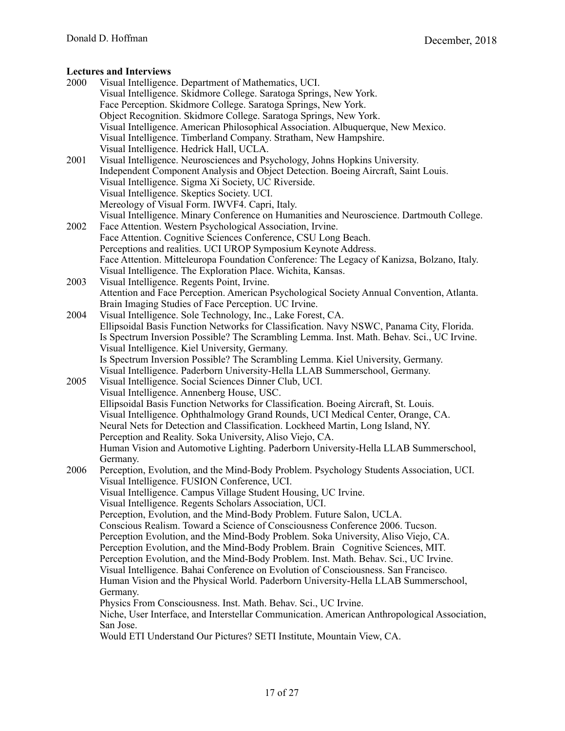- 2000 Visual Intelligence. Department of Mathematics, UCI. Visual Intelligence. Skidmore College. Saratoga Springs, New York. Face Perception. Skidmore College. Saratoga Springs, New York. Object Recognition. Skidmore College. Saratoga Springs, New York. Visual Intelligence. American Philosophical Association. Albuquerque, New Mexico. Visual Intelligence. Timberland Company. Stratham, New Hampshire. Visual Intelligence. Hedrick Hall, UCLA. 2001 Visual Intelligence. Neurosciences and Psychology, Johns Hopkins University. Independent Component Analysis and Object Detection. Boeing Aircraft, Saint Louis. Visual Intelligence. Sigma Xi Society, UC Riverside. Visual Intelligence. Skeptics Society. UCI. Mereology of Visual Form. IWVF4. Capri, Italy. Visual Intelligence. Minary Conference on Humanities and Neuroscience. Dartmouth College. 2002 Face Attention. Western Psychological Association, Irvine. Face Attention. Cognitive Sciences Conference, CSU Long Beach. Perceptions and realities. UCI UROP Symposium Keynote Address. Face Attention. Mitteleuropa Foundation Conference: The Legacy of Kanizsa, Bolzano, Italy. Visual Intelligence. The Exploration Place. Wichita, Kansas. 2003 Visual Intelligence. Regents Point, Irvine. Attention and Face Perception. American Psychological Society Annual Convention, Atlanta. Brain Imaging Studies of Face Perception. UC Irvine. 2004 Visual Intelligence. Sole Technology, Inc., Lake Forest, CA. Ellipsoidal Basis Function Networks for Classification. Navy NSWC, Panama City, Florida. Is Spectrum Inversion Possible? The Scrambling Lemma. Inst. Math. Behav. Sci., UC Irvine. Visual Intelligence. Kiel University, Germany. Is Spectrum Inversion Possible? The Scrambling Lemma. Kiel University, Germany. Visual Intelligence. Paderborn University-Hella LLAB Summerschool, Germany. 2005 Visual Intelligence. Social Sciences Dinner Club, UCI. Visual Intelligence. Annenberg House, USC. Ellipsoidal Basis Function Networks for Classification. Boeing Aircraft, St. Louis. Visual Intelligence. Ophthalmology Grand Rounds, UCI Medical Center, Orange, CA. Neural Nets for Detection and Classification. Lockheed Martin, Long Island, NY. Perception and Reality. Soka University, Aliso Viejo, CA. Human Vision and Automotive Lighting. Paderborn University-Hella LLAB Summerschool, Germany. 2006 Perception, Evolution, and the Mind-Body Problem. Psychology Students Association, UCI. Visual Intelligence. FUSION Conference, UCI. Visual Intelligence. Campus Village Student Housing, UC Irvine. Visual Intelligence. Regents Scholars Association, UCI. Perception, Evolution, and the Mind-Body Problem. Future Salon, UCLA. Conscious Realism. Toward a Science of Consciousness Conference 2006. Tucson. Perception Evolution, and the Mind-Body Problem. Soka University, Aliso Viejo, CA. Perception Evolution, and the Mind-Body Problem. Brain Cognitive Sciences, MIT. Perception Evolution, and the Mind-Body Problem. Inst. Math. Behav. Sci., UC Irvine. Visual Intelligence. Bahai Conference on Evolution of Consciousness. San Francisco. Human Vision and the Physical World. Paderborn University-Hella LLAB Summerschool, Germany. Physics From Consciousness. Inst. Math. Behav. Sci., UC Irvine. Niche, User Interface, and Interstellar Communication. American Anthropological Association, San Jose.
	- Would ETI Understand Our Pictures? SETI Institute, Mountain View, CA.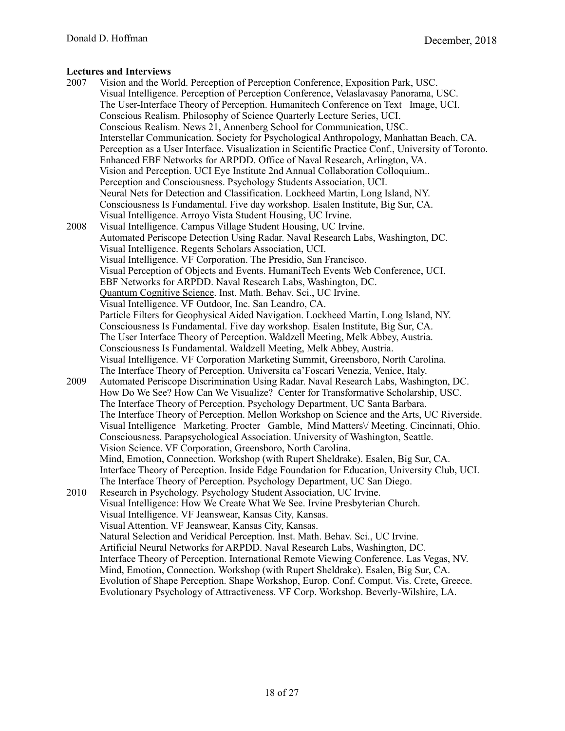- 2007 Vision and the World. Perception of Perception Conference, Exposition Park, USC. Visual Intelligence. Perception of Perception Conference, Velaslavasay Panorama, USC. The User-Interface Theory of Perception. Humanitech Conference on Text Image, UCI. Conscious Realism. Philosophy of Science Quarterly Lecture Series, UCI. Conscious Realism. News 21, Annenberg School for Communication, USC. Interstellar Communication. Society for Psychological Anthropology, Manhattan Beach, CA. Perception as a User Interface. Visualization in Scientific Practice Conf., University of Toronto. Enhanced EBF Networks for ARPDD. Office of Naval Research, Arlington, VA. Vision and Perception. UCI Eye Institute 2nd Annual Collaboration Colloquium.. Perception and Consciousness. Psychology Students Association, UCI. Neural Nets for Detection and Classification. Lockheed Martin, Long Island, NY. Consciousness Is Fundamental. Five day workshop. Esalen Institute, Big Sur, CA. Visual Intelligence. Arroyo Vista Student Housing, UC Irvine. 2008 Visual Intelligence. Campus Village Student Housing, UC Irvine. Automated Periscope Detection Using Radar. Naval Research Labs, Washington, DC. Visual Intelligence. Regents Scholars Association, UCI. Visual Intelligence. VF Corporation. The Presidio, San Francisco. Visual Perception of Objects and Events. HumaniTech Events Web Conference, UCI. EBF Networks for ARPDD. Naval Research Labs, Washington, DC. [Quantum Cognitive Science](https://www.youtube.com/watch?v=L-qkQ86fXIs). Inst. Math. Behav. Sci., UC Irvine. Visual Intelligence. VF Outdoor, Inc. San Leandro, CA. Particle Filters for Geophysical Aided Navigation. Lockheed Martin, Long Island, NY. Consciousness Is Fundamental. Five day workshop. Esalen Institute, Big Sur, CA. The User Interface Theory of Perception. Waldzell Meeting, Melk Abbey, Austria. Consciousness Is Fundamental. Waldzell Meeting, Melk Abbey, Austria. Visual Intelligence. VF Corporation Marketing Summit, Greensboro, North Carolina. The Interface Theory of Perception. Universita ca'Foscari Venezia, Venice, Italy. 2009 Automated Periscope Discrimination Using Radar. Naval Research Labs, Washington, DC. How Do We See? How Can We Visualize? Center for Transformative Scholarship, USC. The Interface Theory of Perception. Psychology Department, UC Santa Barbara. The Interface Theory of Perception. Mellon Workshop on Science and the Arts, UC Riverside. Visual Intelligence Marketing. Procter Gamble, Mind Matters\/ Meeting. Cincinnati, Ohio. Consciousness. Parapsychological Association. University of Washington, Seattle. Vision Science. VF Corporation, Greensboro, North Carolina. Mind, Emotion, Connection. Workshop (with Rupert Sheldrake). Esalen, Big Sur, CA. Interface Theory of Perception. Inside Edge Foundation for Education, University Club, UCI. The Interface Theory of Perception. Psychology Department, UC San Diego. 2010 Research in Psychology. Psychology Student Association, UC Irvine. Visual Intelligence: How We Create What We See. Irvine Presbyterian Church. Visual Intelligence. VF Jeanswear, Kansas City, Kansas. Visual Attention. VF Jeanswear, Kansas City, Kansas. Natural Selection and Veridical Perception. Inst. Math. Behav. Sci., UC Irvine. Artificial Neural Networks for ARPDD. Naval Research Labs, Washington, DC. Interface Theory of Perception. International Remote Viewing Conference. Las Vegas, NV. Mind, Emotion, Connection. Workshop (with Rupert Sheldrake). Esalen, Big Sur, CA. Evolution of Shape Perception. Shape Workshop, Europ. Conf. Comput. Vis. Crete, Greece.
	- Evolutionary Psychology of Attractiveness. VF Corp. Workshop. Beverly-Wilshire, LA.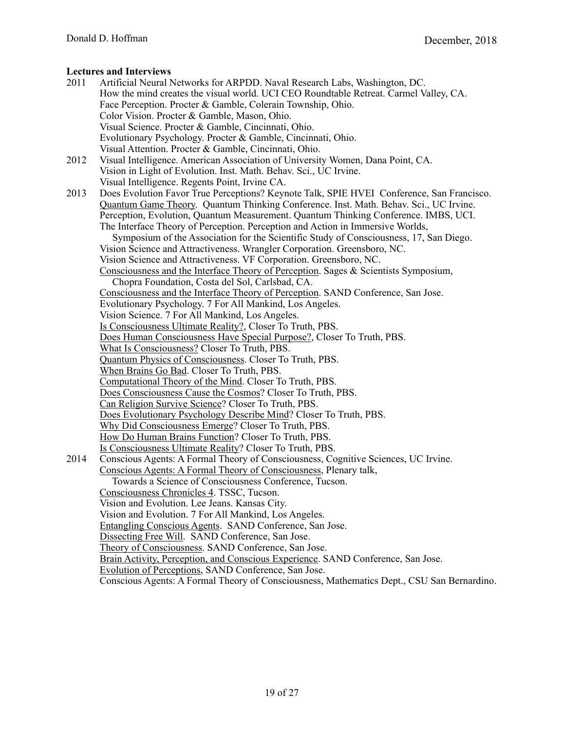| 2011 | Artificial Neural Networks for ARPDD. Naval Research Labs, Washington, DC.                 |
|------|--------------------------------------------------------------------------------------------|
|      | How the mind creates the visual world. UCI CEO Roundtable Retreat. Carmel Valley, CA.      |
|      | Face Perception. Procter & Gamble, Colerain Township, Ohio.                                |
|      | Color Vision. Procter & Gamble, Mason, Ohio.                                               |
|      | Visual Science. Procter & Gamble, Cincinnati, Ohio.                                        |
|      |                                                                                            |
|      | Evolutionary Psychology. Procter & Gamble, Cincinnati, Ohio.                               |
|      | Visual Attention. Procter & Gamble, Cincinnati, Ohio.                                      |
| 2012 | Visual Intelligence. American Association of University Women, Dana Point, CA.             |
|      | Vision in Light of Evolution. Inst. Math. Behav. Sci., UC Irvine.                          |
|      | Visual Intelligence. Regents Point, Irvine CA.                                             |
| 2013 | Does Evolution Favor True Perceptions? Keynote Talk, SPIE HVEI Conference, San Francisco.  |
|      | Quantum Game Theory. Quantum Thinking Conference. Inst. Math. Behav. Sci., UC Irvine.      |
|      | Perception, Evolution, Quantum Measurement. Quantum Thinking Conference. IMBS, UCI.        |
|      | The Interface Theory of Perception. Perception and Action in Immersive Worlds,             |
|      | Symposium of the Association for the Scientific Study of Consciousness, 17, San Diego.     |
|      | Vision Science and Attractiveness. Wrangler Corporation. Greensboro, NC.                   |
|      | Vision Science and Attractiveness. VF Corporation. Greensboro, NC.                         |
|      | Consciousness and the Interface Theory of Perception. Sages & Scientists Symposium,        |
|      | Chopra Foundation, Costa del Sol, Carlsbad, CA.                                            |
|      | Consciousness and the Interface Theory of Perception. SAND Conference, San Jose.           |
|      | Evolutionary Psychology. 7 For All Mankind, Los Angeles.                                   |
|      | Vision Science. 7 For All Mankind, Los Angeles.                                            |
|      | Is Consciousness Ultimate Reality?, Closer To Truth, PBS.                                  |
|      | Does Human Consciousness Have Special Purpose?, Closer To Truth, PBS.                      |
|      | What Is Consciousness? Closer To Truth, PBS.                                               |
|      | Quantum Physics of Consciousness. Closer To Truth, PBS.                                    |
|      | When Brains Go Bad. Closer To Truth, PBS.                                                  |
|      | Computational Theory of the Mind. Closer To Truth, PBS.                                    |
|      | Does Consciousness Cause the Cosmos? Closer To Truth, PBS.                                 |
|      | Can Religion Survive Science? Closer To Truth, PBS.                                        |
|      | Does Evolutionary Psychology Describe Mind? Closer To Truth, PBS.                          |
|      | Why Did Consciousness Emerge? Closer To Truth, PBS.                                        |
|      | How Do Human Brains Function? Closer To Truth, PBS.                                        |
|      | Is Consciousness Ultimate Reality? Closer To Truth, PBS.                                   |
| 2014 | Conscious Agents: A Formal Theory of Consciousness, Cognitive Sciences, UC Irvine.         |
|      | Conscious Agents: A Formal Theory of Consciousness, Plenary talk,                          |
|      | Towards a Science of Consciousness Conference, Tucson.                                     |
|      | Consciousness Chronicles 4. TSSC, Tucson.                                                  |
|      | Vision and Evolution. Lee Jeans. Kansas City.                                              |
|      | Vision and Evolution. 7 For All Mankind, Los Angeles.                                      |
|      | Entangling Conscious Agents. SAND Conference, San Jose.                                    |
|      | Dissecting Free Will. SAND Conference, San Jose.                                           |
|      | Theory of Consciousness. SAND Conference, San Jose.                                        |
|      | Brain Activity, Perception, and Conscious Experience. SAND Conference, San Jose.           |
|      | Evolution of Perceptions, SAND Conference, San Jose.                                       |
|      | Conscious Agents: A Formal Theory of Consciousness, Mathematics Dept., CSU San Bernardino. |
|      |                                                                                            |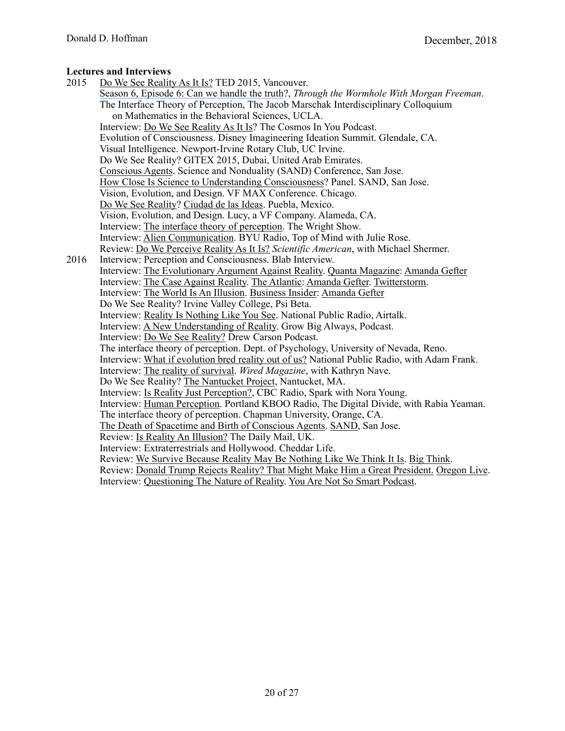2015 [Do We See Reality As It Is?](http://go.ted.com/bkvy) TED 2015, Vancouver. [Season 6, Episode 6: Can we handle the truth?](https://itunes.apple.com/us/tv-season/through-the-wormhole-with-morgan-freeman-season-6/id984631343), *Through the Wormhole With Morgan Freeman*. The Interface Theory of Perception, The Jacob Marschak Interdisciplinary Colloquium on Mathematics in the Behavioral Sciences, UCLA. Interview: [Do We See Reality As It Is](https://www.suzannahscully.com/full-episodes/archives/07-2015)? The Cosmos In You Podcast. Evolution of Consciousness. Disney Imagineering Ideation Summit. Glendale, CA. Visual Intelligence. Newport-Irvine Rotary Club, UC Irvine. Do We See Reality? GITEX 2015, Dubai, United Arab Emirates. [Conscious Agents](https://www.youtube.com/watch?v=7E-MwJgy2lI). Science and Nonduality (SAND) Conference, San Jose. [How Close Is Science to Understanding Consciousness](http://scienceandnonduality.com/?post_type=post&p=91385)? Panel. SAND, San Jose. Vision, Evolution, and Design. VF MAX Conference. Chicago. [Do We See Reality?](https://www.youtube.com/watch?v=M73IAFStYpU) [Ciudad de las Ideas.](http://www.ciudaddelasideas.com/ponentes.php) Puebla, Mexico. Vision, Evolution, and Design. Lucy, a VF Company. Alameda, CA. Interview: [The interface theory of perception](http://meaningoflife.tv/videos/32997). The Wright Show. Interview: [Alien Communication](http://www.byuradio.org/episode/ecfdaddb-e26e-4cba-aae5-0f95fd29d33b?playhead=4530&autoplay=true). BYU Radio, Top of Mind with Julie Rose. Review: [Do We Perceive Reality As It Is?](https://www.scientificamerican.com/article/did-humans-evolve-to-see-things-as-they-really-are/) *Scientific American*, with Michael Shermer. 2016 Interview: Perception and Consciousness. Blab Interview. Interview: [The Evolutionary Argument Against Reality.](https://www.quantamagazine.org/20160421-the-evolutionary-argument-against-reality/) [Quanta Magazine](https://www.quantamagazine.org): [Amanda Gefter](http://www.amandagefter.com) Interview: [The Case Against Reality.](http://www.theatlantic.com/science/archive/2016/04/the-illusion-of-reality/479559/?utm_source=SFFB) [The Atlantic](http://www.theatlantic.com): [Amanda Gefter.](http://www.amandagefter.com) [Twitterstorm.](https://twitter.com/search?q=http%3A%2F%2Fwww.theatlantic.com%2Fscience%2Farchive%2F2016%2F04%2Fthe-illusion-of-reality%2F479559%2F&src=typd) Interview: [The World Is An Illusion](http://www.businessinsider.com/the-evolutionary-argument-against-reality-2016-5). [Business Insider](http://www.businessinsider.com): [Amanda Gefter](http://www.amandagefter.com) Do We See Reality? Irvine Valley College, Psi Beta. Interview: [Reality Is Nothing Like You See.](http://www.scpr.org/programs/airtalk/2016/05/02/48470/reality-is-nothing-like-what-you-think-says-uci-ne/) National Public Radio, Airtalk. Interview: [A New Understanding of Reality.](http://www.growbigalways.com/episodes/donald-hoffman) Grow Big Always, Podcast. Interview: [Do We See Reality?](http://www.podcastgarden.com/episode/professor-donald-d-hoffman_85049) Drew Carson Podcast. The interface theory of perception. Dept. of Psychology, University of Nevada, Reno. Interview: [What if evolution bred reality out of us?](http://www.npr.org/sections/13.7/2016/09/06/492779594/what-if-evolution-bred-reality-out-of-us) National Public Radio, with Adam Frank. Interview: [The reality of survival.](http://www.wired.co.uk/article/the-reality-of-survival) *Wired Magazine*, with Kathryn Nave. Do We See Reality? [The Nantucket Project,](https://www.nantucketproject.com) Nantucket, MA. Interview: [Is Reality Just Perception?,](http://www.cbc.ca/radio/spark/330-reality-isn-t-real-utopia-is-creepy-1.3792237/is-reality-just-perception-1.3792989) CBC Radio, Spark with Nora Young. Interview: [Human Perception](http://kboo.fm/media/digital-divide-donald-hoffman-102016). Portland KBOO Radio, The Digital Divide, with Rabia Yeaman. The interface theory of perception. Chapman University, Orange, CA. [The Death of Spacetime and Birth of Conscious Agents](https://www.youtube.com/watch?v=oadgHhdgRkI&feature=youtu.be). [SAND,](https://www.scienceandnonduality.com) San Jose. Review: [Is Reality An Illusion?](http://www.dailymail.co.uk/sciencetech/article-3718312/Is-reality-ILLUSION-Scientist-says-living-computer-simulation-controlled-evil-genius.html) The Daily Mail, UK. Interview: Extraterrestrials and Hollywood. Cheddar Life. Review: [We Survive Because Reality May Be Nothing Like We Think It Is](http://bigthink.com/robby-berman/we-survive-because-reality-may-be-nothing-like-we-think-it-is). [Big Think](http://bigthink.com). Review: [Donald Trump Rejects Reality? That Might Make Him a Great President.](http://www.oregonlive.com/today/index.ssf/2016/12/donald_trump_rejects_reality_t.html) [Oregon Live.](http://www.oregonlive.com/#/0) Interview: [Questioning The Nature of Reality.](https://youarenotsosmart.com/2016/12/02/yanss-090-questioning-the-nature-of-reality-with-cognitive-scientist-donald-hoffman/) [You Are Not So Smart Podcast.](https://youarenotsosmart.com)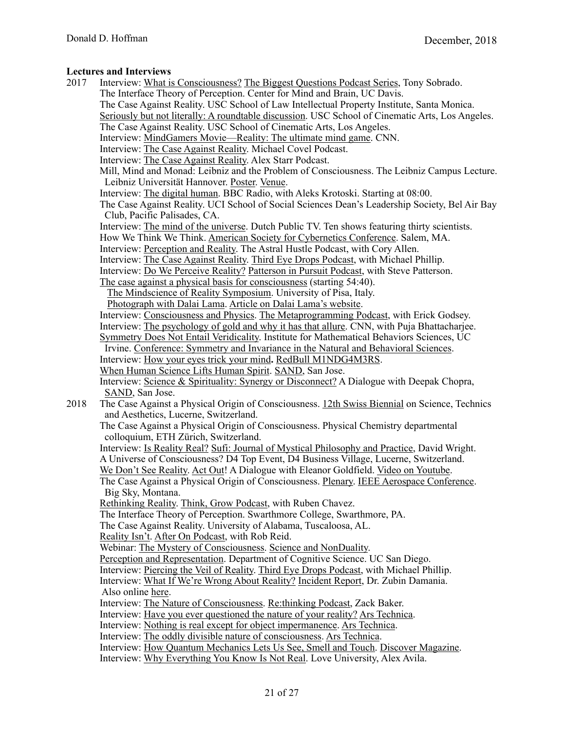| 2017 | Interview: What is Consciousness? The Biggest Questions Podcast Series, Tony Sobrado.                                         |
|------|-------------------------------------------------------------------------------------------------------------------------------|
|      | The Interface Theory of Perception. Center for Mind and Brain, UC Davis.                                                      |
|      | The Case Against Reality. USC School of Law Intellectual Property Institute, Santa Monica.                                    |
|      | Seriously but not literally: A roundtable discussion. USC School of Cinematic Arts, Los Angeles.                              |
|      | The Case Against Reality. USC School of Cinematic Arts, Los Angeles.                                                          |
|      | Interview: MindGamers Movie—Reality: The ultimate mind game. CNN.                                                             |
|      | Interview: The Case Against Reality. Michael Covel Podcast.                                                                   |
|      | Interview: The Case Against Reality. Alex Starr Podcast.                                                                      |
|      | Mill, Mind and Monad: Leibniz and the Problem of Consciousness. The Leibniz Campus Lecture.                                   |
|      | Leibniz Universität Hannover. Poster. Venue.                                                                                  |
|      | Interview: The digital human. BBC Radio, with Aleks Krotoski. Starting at 08:00.                                              |
|      | The Case Against Reality. UCI School of Social Sciences Dean's Leadership Society, Bel Air Bay                                |
|      | Club, Pacific Palisades, CA.                                                                                                  |
|      | Interview: The mind of the universe. Dutch Public TV. Ten shows featuring thirty scientists.                                  |
|      | How We Think We Think. American Society for Cybernetics Conference. Salem, MA.                                                |
|      | Interview: Perception and Reality. The Astral Hustle Podcast, with Cory Allen.                                                |
|      | Interview: The Case Against Reality. Third Eye Drops Podcast, with Michael Phillip.                                           |
|      | Interview: Do We Perceive Reality? Patterson in Pursuit Podcast, with Steve Patterson.                                        |
|      | The case against a physical basis for consciousness (starting 54:40).                                                         |
|      | The Mindscience of Reality Symposium. University of Pisa, Italy.                                                              |
|      | Photograph with Dalai Lama. Article on Dalai Lama's website.                                                                  |
|      | Interview: Consciousness and Physics. The Metaprogramming Podcast, with Erick Godsey.                                         |
|      | Interview: The psychology of gold and why it has that allure. CNN, with Puja Bhattacharjee.                                   |
|      | Symmetry Does Not Entail Veridicality. Institute for Mathematical Behaviors Sciences, UC                                      |
|      | Irvine. Conference: Symmetry and Invariance in the Natural and Behavioral Sciences.                                           |
|      | Interview: How your eyes trick your mind. RedBull M1NDG4M3RS.                                                                 |
|      | When Human Science Lifts Human Spirit. SAND, San Jose.                                                                        |
|      | Interview: Science & Spirituality: Synergy or Disconnect? A Dialogue with Deepak Chopra,                                      |
|      | SAND, San Jose.                                                                                                               |
| 2018 | The Case Against a Physical Origin of Consciousness. 12th Swiss Biennial on Science, Technics                                 |
|      | and Aesthetics, Lucerne, Switzerland.<br>The Case Against a Physical Origin of Consciousness. Physical Chemistry departmental |
|      | colloquium, ETH Zürich, Switzerland.                                                                                          |
|      | Interview: Is Reality Real? Sufi: Journal of Mystical Philosophy and Practice, David Wright.                                  |
|      | A Universe of Consciousness? D4 Top Event, D4 Business Village, Lucerne, Switzerland.                                         |
|      | We Don't See Reality. Act Out! A Dialogue with Eleanor Goldfield. Video on Youtube.                                           |
|      | The Case Against a Physical Origin of Consciousness. Plenary. IEEE Aerospace Conference.                                      |
|      | Big Sky, Montana.                                                                                                             |
|      | Rethinking Reality. Think, Grow Podcast, with Ruben Chavez.                                                                   |
|      | The Interface Theory of Perception. Swarthmore College, Swarthmore, PA.                                                       |
|      | The Case Against Reality. University of Alabama, Tuscaloosa, AL.                                                              |
|      | Reality Isn't. After On Podcast, with Rob Reid.                                                                               |
|      | Webinar: The Mystery of Consciousness. Science and NonDuality.                                                                |
|      | Perception and Representation. Department of Cognitive Science. UC San Diego.                                                 |
|      | Interview: Piercing the Veil of Reality. Third Eye Drops Podcast, with Michael Phillip.                                       |
|      | Interview: What If We're Wrong About Reality? Incident Report, Dr. Zubin Damania.                                             |
|      | Also online here.                                                                                                             |
|      | Interview: The Nature of Consciousness. Re:thinking Podcast, Zack Baker.                                                      |
|      | Interview: Have you ever questioned the nature of your reality? Ars Technica.                                                 |
|      | Interview: Nothing is real except for object impermanence. Ars Technica.                                                      |
|      | Interview: The oddly divisible nature of consciousness. Ars Technica.                                                         |
|      | Interview: How Quantum Mechanics Lets Us See, Smell and Touch. Discover Magazine.                                             |
|      | Interview: Why Everything You Know Is Not Real. Love University, Alex Avila.                                                  |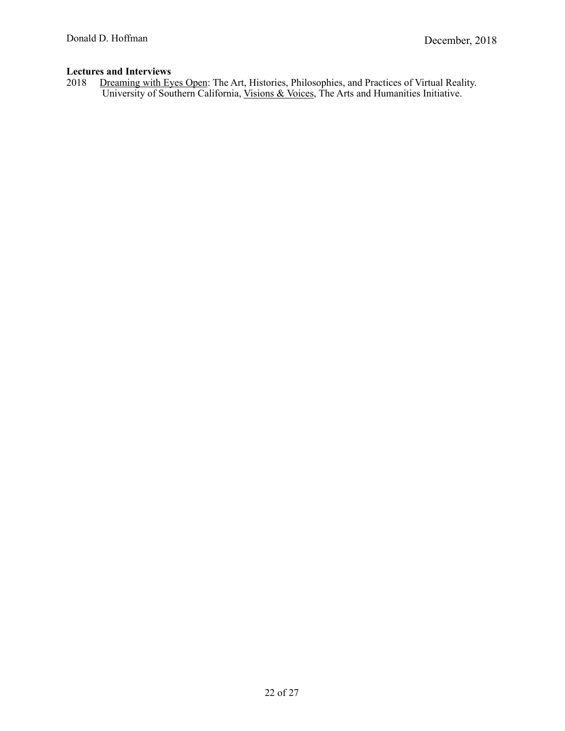2018 [Dreaming with Eyes Open:](http://visionsandvoices.usc.edu/events/listing.php?event_id=1297433) The Art, Histories, Philosophies, and Practices of Virtual Reality. University of Southern California, [Visions & Voices](http://visionsandvoices.usc.edu), The Arts and Humanities Initiative.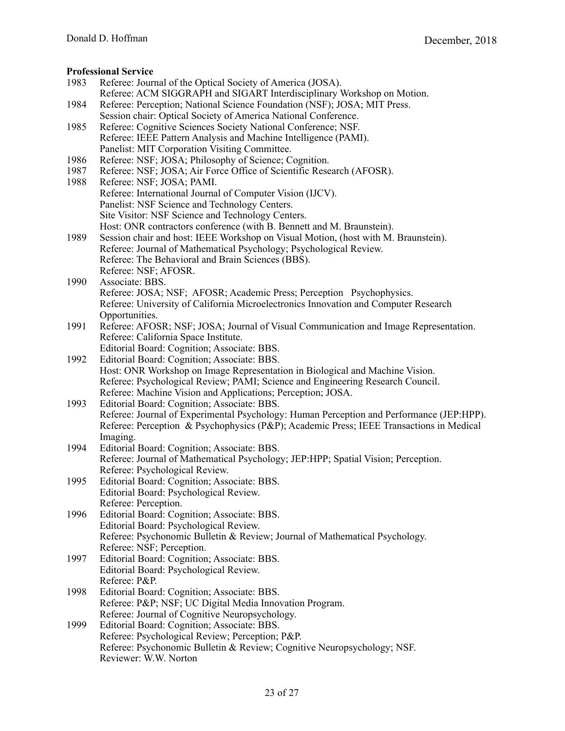#### **Professional Service**

- 1983 Referee: Journal of the Optical Society of America (JOSA). Referee: ACM SIGGRAPH and SIGART Interdisciplinary Workshop on Motion. 1984 Referee: Perception; National Science Foundation (NSF); JOSA; MIT Press. Session chair: Optical Society of America National Conference. 1985 Referee: Cognitive Sciences Society National Conference; NSF. Referee: IEEE Pattern Analysis and Machine Intelligence (PAMI). Panelist: MIT Corporation Visiting Committee. 1986 Referee: NSF; JOSA; Philosophy of Science; Cognition. 1987 Referee: NSF; JOSA; Air Force Office of Scientific Research (AFOSR). 1988 Referee: NSF; JOSA; PAMI. Referee: International Journal of Computer Vision (IJCV). Panelist: NSF Science and Technology Centers. Site Visitor: NSF Science and Technology Centers. Host: ONR contractors conference (with B. Bennett and M. Braunstein). 1989 Session chair and host: IEEE Workshop on Visual Motion, (host with M. Braunstein). Referee: Journal of Mathematical Psychology; Psychological Review. Referee: The Behavioral and Brain Sciences (BBS). Referee: NSF; AFOSR. 1990 Associate: BBS. Referee: JOSA; NSF; AFOSR; Academic Press; Perception Psychophysics. Referee: University of California Microelectronics Innovation and Computer Research Opportunities. 1991 Referee: AFOSR; NSF; JOSA; Journal of Visual Communication and Image Representation. Referee: California Space Institute. Editorial Board: Cognition; Associate: BBS. 1992 Editorial Board: Cognition; Associate: BBS. Host: ONR Workshop on Image Representation in Biological and Machine Vision. Referee: Psychological Review; PAMI; Science and Engineering Research Council. Referee: Machine Vision and Applications; Perception; JOSA. 1993 Editorial Board: Cognition; Associate: BBS. Referee: Journal of Experimental Psychology: Human Perception and Performance (JEP:HPP). Referee: Perception & Psychophysics (P&P); Academic Press; IEEE Transactions in Medical Imaging. 1994 Editorial Board: Cognition; Associate: BBS. Referee: Journal of Mathematical Psychology; JEP:HPP; Spatial Vision; Perception. Referee: Psychological Review. 1995 Editorial Board: Cognition; Associate: BBS. Editorial Board: Psychological Review. Referee: Perception. 1996 Editorial Board: Cognition; Associate: BBS. Editorial Board: Psychological Review. Referee: Psychonomic Bulletin & Review; Journal of Mathematical Psychology. Referee: NSF; Perception. 1997 Editorial Board: Cognition; Associate: BBS. Editorial Board: Psychological Review. Referee: P&P. 1998 Editorial Board: Cognition; Associate: BBS. Referee: P&P; NSF; UC Digital Media Innovation Program. Referee: Journal of Cognitive Neuropsychology. 1999 Editorial Board: Cognition; Associate: BBS. Referee: Psychological Review; Perception; P&P. Referee: Psychonomic Bulletin & Review; Cognitive Neuropsychology; NSF.
	- 23 of 27

Reviewer: W.W. Norton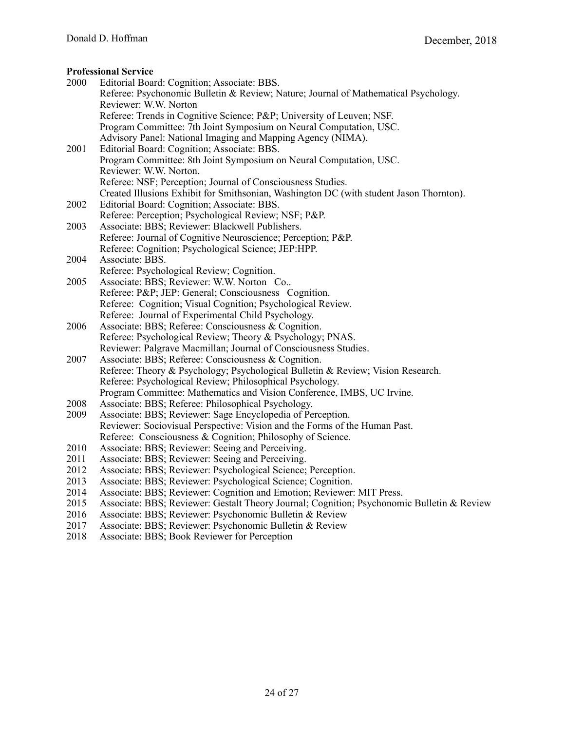# **Professional Service**

|      | <b>Professional Service</b>                                                                |
|------|--------------------------------------------------------------------------------------------|
| 2000 | Editorial Board: Cognition; Associate: BBS.                                                |
|      | Referee: Psychonomic Bulletin & Review; Nature; Journal of Mathematical Psychology.        |
|      | Reviewer: W.W. Norton                                                                      |
|      | Referee: Trends in Cognitive Science; P&P University of Leuven; NSF.                       |
|      | Program Committee: 7th Joint Symposium on Neural Computation, USC.                         |
|      | Advisory Panel: National Imaging and Mapping Agency (NIMA).                                |
| 2001 | Editorial Board: Cognition; Associate: BBS.                                                |
|      | Program Committee: 8th Joint Symposium on Neural Computation, USC.                         |
|      | Reviewer: W.W. Norton.                                                                     |
|      | Referee: NSF; Perception; Journal of Consciousness Studies.                                |
|      | Created Illusions Exhibit for Smithsonian, Washington DC (with student Jason Thornton).    |
| 2002 | Editorial Board: Cognition; Associate: BBS.                                                |
|      | Referee: Perception; Psychological Review; NSF; P&P.                                       |
| 2003 | Associate: BBS; Reviewer: Blackwell Publishers.                                            |
|      | Referee: Journal of Cognitive Neuroscience; Perception; P&P.                               |
|      | Referee: Cognition; Psychological Science; JEP:HPP.                                        |
| 2004 | Associate: BBS.                                                                            |
|      | Referee: Psychological Review; Cognition.                                                  |
| 2005 | Associate: BBS; Reviewer: W.W. Norton Co                                                   |
|      | Referee: P&P JEP: General; Consciousness Cognition.                                        |
|      | Referee: Cognition; Visual Cognition; Psychological Review.                                |
|      | Referee: Journal of Experimental Child Psychology.                                         |
| 2006 | Associate: BBS; Referee: Consciousness & Cognition.                                        |
|      | Referee: Psychological Review; Theory & Psychology; PNAS.                                  |
|      | Reviewer: Palgrave Macmillan; Journal of Consciousness Studies.                            |
| 2007 | Associate: BBS; Referee: Consciousness & Cognition.                                        |
|      | Referee: Theory & Psychology; Psychological Bulletin & Review; Vision Research.            |
|      | Referee: Psychological Review; Philosophical Psychology.                                   |
|      | Program Committee: Mathematics and Vision Conference, IMBS, UC Irvine.                     |
| 2008 | Associate: BBS; Referee: Philosophical Psychology.                                         |
| 2009 | Associate: BBS; Reviewer: Sage Encyclopedia of Perception.                                 |
|      | Reviewer: Sociovisual Perspective: Vision and the Forms of the Human Past.                 |
|      | Referee: Consciousness & Cognition; Philosophy of Science.                                 |
| 2010 | Associate: BBS; Reviewer: Seeing and Perceiving.                                           |
| 2011 | Associate: BBS; Reviewer: Seeing and Perceiving.                                           |
| 2012 | Associate: BBS; Reviewer: Psychological Science; Perception.                               |
| 2013 | Associate: BBS; Reviewer: Psychological Science; Cognition.                                |
| 2014 | Associate: BBS; Reviewer: Cognition and Emotion; Reviewer: MIT Press.                      |
| 2015 | Associate: BBS; Reviewer: Gestalt Theory Journal; Cognition; Psychonomic Bulletin & Review |
| 2016 | Associate: BBS; Reviewer: Psychonomic Bulletin & Review                                    |
| 2017 | Associate: BBS; Reviewer: Psychonomic Bulletin & Review                                    |

2018 Associate: BBS; Book Reviewer for Perception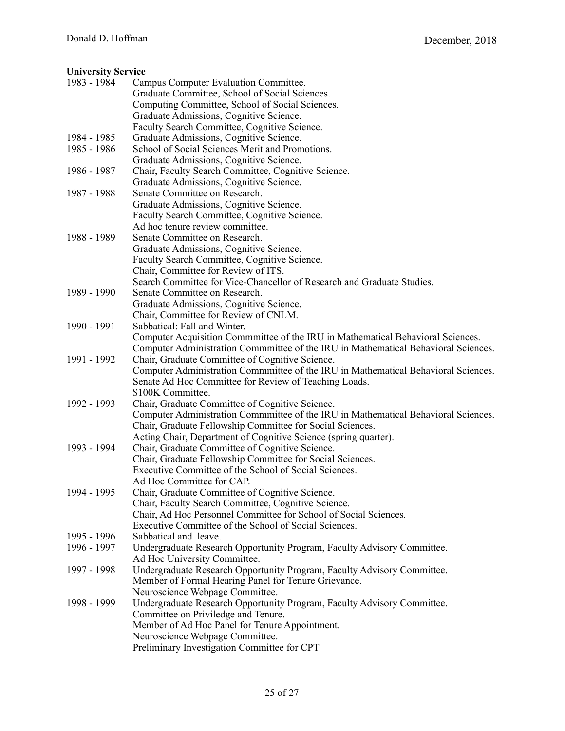# **University Service**

| 1983 - 1984 | Campus Computer Evaluation Committee.<br>Graduate Committee, School of Social Sciences. |
|-------------|-----------------------------------------------------------------------------------------|
|             | Computing Committee, School of Social Sciences.                                         |
|             | Graduate Admissions, Cognitive Science.                                                 |
|             | Faculty Search Committee, Cognitive Science.                                            |
| 1984 - 1985 | Graduate Admissions, Cognitive Science.                                                 |
| 1985 - 1986 | School of Social Sciences Merit and Promotions.                                         |
|             | Graduate Admissions, Cognitive Science.                                                 |
| 1986 - 1987 | Chair, Faculty Search Committee, Cognitive Science.                                     |
|             | Graduate Admissions, Cognitive Science.                                                 |
| 1987 - 1988 | Senate Committee on Research.                                                           |
|             | Graduate Admissions, Cognitive Science.                                                 |
|             | Faculty Search Committee, Cognitive Science.                                            |
|             | Ad hoc tenure review committee.                                                         |
| 1988 - 1989 | Senate Committee on Research.                                                           |
|             | Graduate Admissions, Cognitive Science.                                                 |
|             | Faculty Search Committee, Cognitive Science.                                            |
|             | Chair, Committee for Review of ITS.                                                     |
|             | Search Committee for Vice-Chancellor of Research and Graduate Studies.                  |
| 1989 - 1990 | Senate Committee on Research.                                                           |
|             | Graduate Admissions, Cognitive Science.                                                 |
|             | Chair, Committee for Review of CNLM.                                                    |
| 1990 - 1991 | Sabbatical: Fall and Winter.                                                            |
|             | Computer Acquisition Commmittee of the IRU in Mathematical Behavioral Sciences.         |
|             | Computer Administration Commmittee of the IRU in Mathematical Behavioral Sciences.      |
| 1991 - 1992 | Chair, Graduate Committee of Cognitive Science.                                         |
|             | Computer Administration Commmittee of the IRU in Mathematical Behavioral Sciences.      |
|             | Senate Ad Hoc Committee for Review of Teaching Loads.                                   |
|             | \$100K Committee.                                                                       |
| 1992 - 1993 | Chair, Graduate Committee of Cognitive Science.                                         |
|             | Computer Administration Commmittee of the IRU in Mathematical Behavioral Sciences.      |
|             | Chair, Graduate Fellowship Committee for Social Sciences.                               |
|             | Acting Chair, Department of Cognitive Science (spring quarter).                         |
| 1993 - 1994 | Chair, Graduate Committee of Cognitive Science.                                         |
|             | Chair, Graduate Fellowship Committee for Social Sciences.                               |
|             | Executive Committee of the School of Social Sciences.                                   |
|             | Ad Hoc Committee for CAP.                                                               |
| 1994 - 1995 | Chair, Graduate Committee of Cognitive Science.                                         |
|             | Chair, Faculty Search Committee, Cognitive Science.                                     |
|             | Chair, Ad Hoc Personnel Committee for School of Social Sciences.                        |
|             | Executive Committee of the School of Social Sciences.                                   |
| 1995 - 1996 | Sabbatical and leave.                                                                   |
| 1996 - 1997 | Undergraduate Research Opportunity Program, Faculty Advisory Committee.                 |
|             | Ad Hoc University Committee.                                                            |
| 1997 - 1998 | Undergraduate Research Opportunity Program, Faculty Advisory Committee.                 |
|             | Member of Formal Hearing Panel for Tenure Grievance.                                    |
|             | Neuroscience Webpage Committee.                                                         |
| 1998 - 1999 | Undergraduate Research Opportunity Program, Faculty Advisory Committee.                 |
|             | Committee on Priviledge and Tenure.                                                     |
|             | Member of Ad Hoc Panel for Tenure Appointment.                                          |
|             | Neuroscience Webpage Committee.                                                         |
|             | Preliminary Investigation Committee for CPT                                             |
|             |                                                                                         |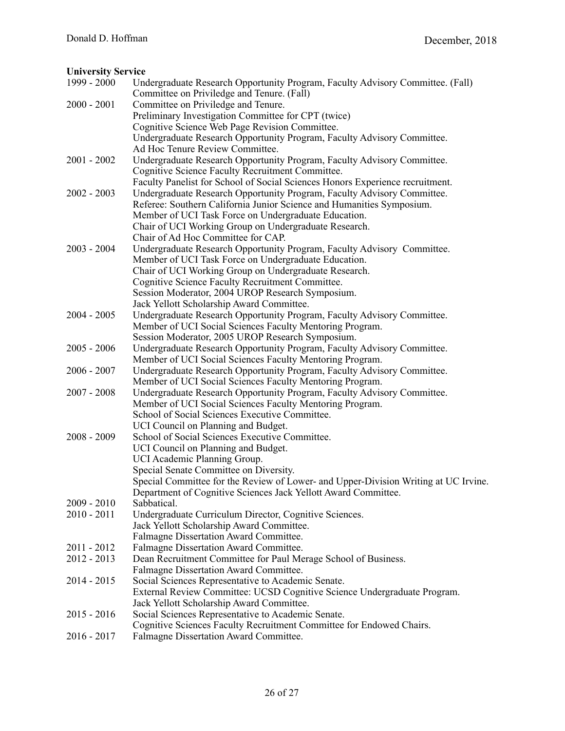# **University Service**

| 1999 - 2000 | Undergraduate Research Opportunity Program, Faculty Advisory Committee. (Fall)<br>Committee on Priviledge and Tenure. (Fall) |
|-------------|------------------------------------------------------------------------------------------------------------------------------|
| 2000 - 2001 | Committee on Priviledge and Tenure.                                                                                          |
|             |                                                                                                                              |
|             | Preliminary Investigation Committee for CPT (twice)                                                                          |
|             | Cognitive Science Web Page Revision Committee.                                                                               |
|             | Undergraduate Research Opportunity Program, Faculty Advisory Committee.<br>Ad Hoc Tenure Review Committee.                   |
| 2001 - 2002 | Undergraduate Research Opportunity Program, Faculty Advisory Committee.                                                      |
|             | Cognitive Science Faculty Recruitment Committee.                                                                             |
|             | Faculty Panelist for School of Social Sciences Honors Experience recruitment.                                                |
| 2002 - 2003 | Undergraduate Research Opportunity Program, Faculty Advisory Committee.                                                      |
|             | Referee: Southern California Junior Science and Humanities Symposium.                                                        |
|             | Member of UCI Task Force on Undergraduate Education.                                                                         |
|             | Chair of UCI Working Group on Undergraduate Research.                                                                        |
|             | Chair of Ad Hoc Committee for CAP.                                                                                           |
| 2003 - 2004 | Undergraduate Research Opportunity Program, Faculty Advisory Committee.                                                      |
|             | Member of UCI Task Force on Undergraduate Education.                                                                         |
|             | Chair of UCI Working Group on Undergraduate Research.                                                                        |
|             | Cognitive Science Faculty Recruitment Committee.                                                                             |
|             | Session Moderator, 2004 UROP Research Symposium.                                                                             |
|             | Jack Yellott Scholarship Award Committee.                                                                                    |
| 2004 - 2005 | Undergraduate Research Opportunity Program, Faculty Advisory Committee.                                                      |
|             | Member of UCI Social Sciences Faculty Mentoring Program.                                                                     |
|             | Session Moderator, 2005 UROP Research Symposium.                                                                             |
| 2005 - 2006 | Undergraduate Research Opportunity Program, Faculty Advisory Committee.                                                      |
|             | Member of UCI Social Sciences Faculty Mentoring Program.                                                                     |
| 2006 - 2007 | Undergraduate Research Opportunity Program, Faculty Advisory Committee.                                                      |
|             | Member of UCI Social Sciences Faculty Mentoring Program.                                                                     |
| 2007 - 2008 | Undergraduate Research Opportunity Program, Faculty Advisory Committee.                                                      |
|             | Member of UCI Social Sciences Faculty Mentoring Program.                                                                     |
|             | School of Social Sciences Executive Committee.                                                                               |
|             | UCI Council on Planning and Budget.                                                                                          |
| 2008 - 2009 | School of Social Sciences Executive Committee.                                                                               |
|             | UCI Council on Planning and Budget.                                                                                          |
|             | UCI Academic Planning Group.                                                                                                 |
|             | Special Senate Committee on Diversity.                                                                                       |
|             | Special Committee for the Review of Lower- and Upper-Division Writing at UC Irvine.                                          |
|             | Department of Cognitive Sciences Jack Yellott Award Committee.                                                               |
| 2009 - 2010 | Sabbatical.                                                                                                                  |
| 2010 - 2011 | Undergraduate Curriculum Director, Cognitive Sciences.                                                                       |
|             | Jack Yellott Scholarship Award Committee.                                                                                    |
|             | Falmagne Dissertation Award Committee.                                                                                       |
| 2011 - 2012 | Falmagne Dissertation Award Committee.                                                                                       |
| 2012 - 2013 | Dean Recruitment Committee for Paul Merage School of Business.                                                               |
|             | Falmagne Dissertation Award Committee.                                                                                       |
| 2014 - 2015 | Social Sciences Representative to Academic Senate.                                                                           |
|             | External Review Committee: UCSD Cognitive Science Undergraduate Program.                                                     |
|             | Jack Yellott Scholarship Award Committee.                                                                                    |
| 2015 - 2016 | Social Sciences Representative to Academic Senate.                                                                           |
|             | Cognitive Sciences Faculty Recruitment Committee for Endowed Chairs.                                                         |
| 2016 - 2017 | Falmagne Dissertation Award Committee.                                                                                       |
|             |                                                                                                                              |